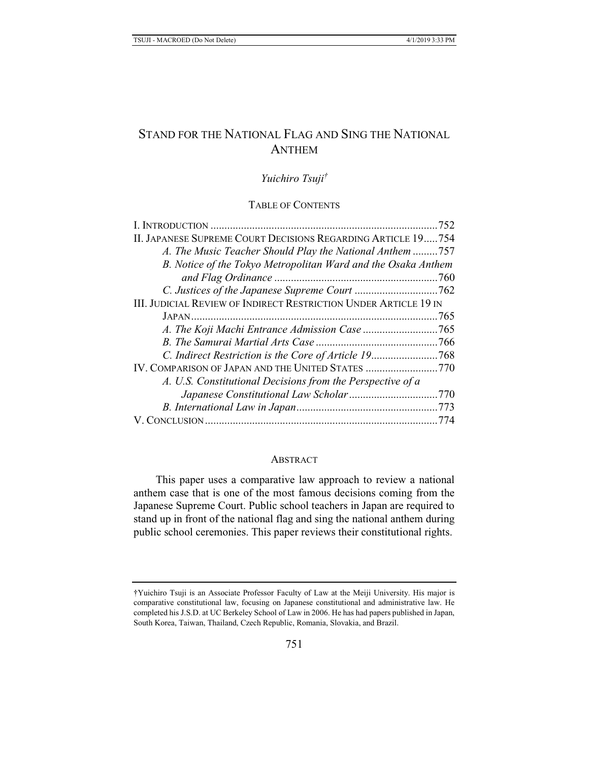# STAND FOR THE NATIONAL FLAG AND SING THE NATIONAL **ANTHEM**

# *Yuichiro Tsuji†*

### TABLE OF CONTENTS

| II. JAPANESE SUPREME COURT DECISIONS REGARDING ARTICLE 19754            |  |
|-------------------------------------------------------------------------|--|
| A. The Music Teacher Should Play the National Anthem 757                |  |
| B. Notice of the Tokyo Metropolitan Ward and the Osaka Anthem           |  |
|                                                                         |  |
|                                                                         |  |
| <b>III. JUDICIAL REVIEW OF INDIRECT RESTRICTION UNDER ARTICLE 19 IN</b> |  |
|                                                                         |  |
|                                                                         |  |
|                                                                         |  |
| C. Indirect Restriction is the Core of Article 19768                    |  |
| IV. COMPARISON OF JAPAN AND THE UNITED STATES 770                       |  |
| A. U.S. Constitutional Decisions from the Perspective of a              |  |
|                                                                         |  |
|                                                                         |  |
|                                                                         |  |
|                                                                         |  |

#### **ABSTRACT**

This paper uses a comparative law approach to review a national anthem case that is one of the most famous decisions coming from the Japanese Supreme Court. Public school teachers in Japan are required to stand up in front of the national flag and sing the national anthem during public school ceremonies. This paper reviews their constitutional rights.

<sup>†</sup>Yuichiro Tsuji is an Associate Professor Faculty of Law at the Meiji University. His major is comparative constitutional law, focusing on Japanese constitutional and administrative law. He completed his J.S.D. at UC Berkeley School of Law in 2006. He has had papers published in Japan, South Korea, Taiwan, Thailand, Czech Republic, Romania, Slovakia, and Brazil.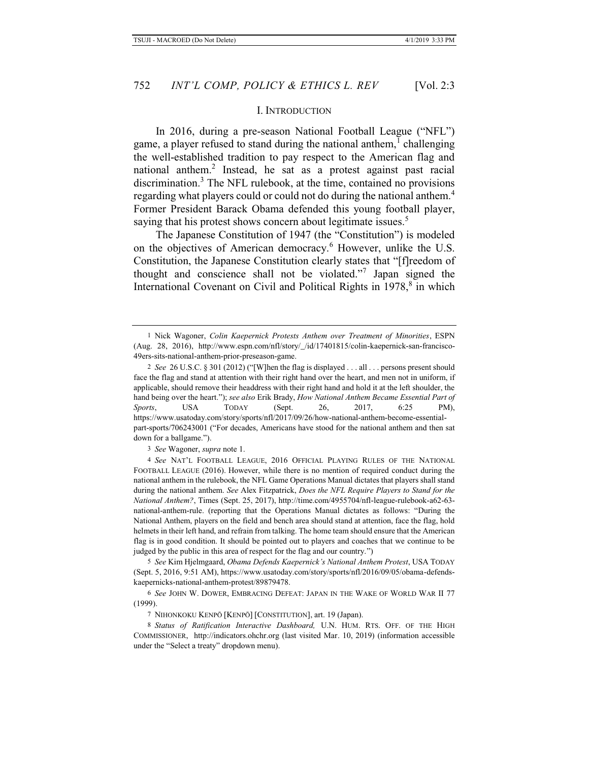#### I. INTRODUCTION

In 2016, during a pre-season National Football League ("NFL") game, a player refused to stand during the national anthem,  $^1$  challenging the well-established tradition to pay respect to the American flag and national anthem.<sup>2</sup> Instead, he sat as a protest against past racial discrimination.<sup>3</sup> The NFL rulebook, at the time, contained no provisions regarding what players could or could not do during the national anthem.<sup>4</sup> Former President Barack Obama defended this young football player, saying that his protest shows concern about legitimate issues.<sup>5</sup>

The Japanese Constitution of 1947 (the "Constitution") is modeled on the objectives of American democracy.<sup>6</sup> However, unlike the U.S. Constitution, the Japanese Constitution clearly states that "[f]reedom of thought and conscience shall not be violated."<sup>7</sup> Japan signed the International Covenant on Civil and Political Rights in 1978,<sup>8</sup> in which

3 *See* Wagoner, *supra* note 1.

4 *See* NAT'L FOOTBALL LEAGUE, 2016 OFFICIAL PLAYING RULES OF THE NATIONAL FOOTBALL LEAGUE (2016). However, while there is no mention of required conduct during the national anthem in the rulebook, the NFL Game Operations Manual dictates that players shall stand during the national anthem. *See* Alex Fitzpatrick, *Does the NFL Require Players to Stand for the National Anthem?*, Times (Sept. 25, 2017), http://time.com/4955704/nfl-league-rulebook-a62-63 national-anthem-rule. (reporting that the Operations Manual dictates as follows: "During the National Anthem, players on the field and bench area should stand at attention, face the flag, hold helmets in their left hand, and refrain from talking. The home team should ensure that the American flag is in good condition. It should be pointed out to players and coaches that we continue to be judged by the public in this area of respect for the flag and our country.")

5 *See* Kim Hjelmgaard, *Obama Defends Kaepernick's National Anthem Protest*, USA TODAY (Sept. 5, 2016, 9:51 AM), https://www.usatoday.com/story/sports/nfl/2016/09/05/obama-defendskaepernicks-national-anthem-protest/89879478.

8 *Status of Ratification Interactive Dashboard,* U.N. HUM. RTS. OFF. OF THE HIGH COMMISSIONER, http://indicators.ohchr.org (last visited Mar. 10, 2019) (information accessible under the "Select a treaty" dropdown menu).

<sup>1</sup> Nick Wagoner, *Colin Kaepernick Protests Anthem over Treatment of Minorities*, ESPN (Aug. 28, 2016), http://www.espn.com/nfl/story/\_/id/17401815/colin-kaepernick-san-francisco-49ers-sits-national-anthem-prior-preseason-game.

<sup>2</sup> *See* 26 U.S.C. § 301 (2012) ("[W]hen the flag is displayed . . . all . . . persons present should face the flag and stand at attention with their right hand over the heart, and men not in uniform, if applicable, should remove their headdress with their right hand and hold it at the left shoulder, the hand being over the heart."); *see also* Erik Brady, *How National Anthem Became Essential Part of Sports*, USA TODAY (Sept. 26, 2017, 6:25 PM), https://www.usatoday.com/story/sports/nfl/2017/09/26/how-national-anthem-become-essentialpart-sports/706243001 ("For decades, Americans have stood for the national anthem and then sat down for a ballgame.").

<sup>6</sup> *See* JOHN W. DOWER, EMBRACING DEFEAT: JAPAN IN THE WAKE OF WORLD WAR II 77 (1999).

<sup>7</sup> NIHONKOKU KENPŌ [KENPŌ] [CONSTITUTION], art. 19 (Japan).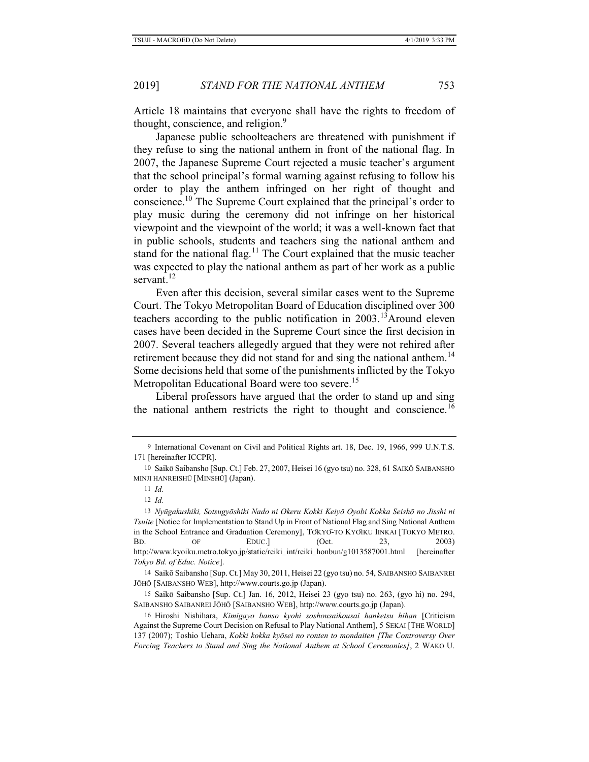Article 18 maintains that everyone shall have the rights to freedom of thought, conscience, and religion.<sup>9</sup>

Japanese public schoolteachers are threatened with punishment if they refuse to sing the national anthem in front of the national flag. In 2007, the Japanese Supreme Court rejected a music teacher's argument that the school principal's formal warning against refusing to follow his order to play the anthem infringed on her right of thought and conscience.10 The Supreme Court explained that the principal's order to play music during the ceremony did not infringe on her historical viewpoint and the viewpoint of the world; it was a well-known fact that in public schools, students and teachers sing the national anthem and stand for the national flag.<sup>11</sup> The Court explained that the music teacher was expected to play the national anthem as part of her work as a public servant. $^{12}$ 

Even after this decision, several similar cases went to the Supreme Court. The Tokyo Metropolitan Board of Education disciplined over 300 teachers according to the public notification in 2003.<sup>13</sup>Around eleven cases have been decided in the Supreme Court since the first decision in 2007. Several teachers allegedly argued that they were not rehired after retirement because they did not stand for and sing the national anthem.<sup>14</sup> Some decisions held that some of the punishments inflicted by the Tokyo Metropolitan Educational Board were too severe.<sup>15</sup>

Liberal professors have argued that the order to stand up and sing the national anthem restricts the right to thought and conscience.<sup>16</sup>

<sup>9</sup> International Covenant on Civil and Political Rights art. 18, Dec. 19, 1966, 999 U.N.T.S. 171 [hereinafter ICCPR].

<sup>10</sup> Saikō Saibansho [Sup. Ct.] Feb. 27, 2007, Heisei 16 (gyo tsu) no. 328, 61 SAIKŌ SAIBANSHO MINJI HANREISHŪ [MINSHŪ] (Japan).

<sup>11</sup> *Id.*

<sup>12</sup> *Id.*

<sup>13</sup> *Nyūgakushiki, Sotsugyōshiki Nado ni Okeru Kokki Keiyō Oyobi Kokka Seishō no Jisshi ni Tsuite* [Notice for Implementation to Stand Up in Front of National Flag and Sing National Anthem in the School Entrance and Graduation Ceremony], TŌKYŌ-TO KYŌIKU IINKAI [TOKYO METRO. BD. OF EDUC.] (Oct. 23, 2003) http://www.kyoiku.metro.tokyo.jp/static/reiki\_int/reiki\_honbun/g1013587001.html [hereinafter *Tokyo Bd. of Educ. Notice*].

<sup>14</sup> Saikō Saibansho [Sup. Ct.] May 30, 2011, Heisei 22 (gyo tsu) no. 54, SAIBANSHO SAIBANREI JŌHŌ [SAIBANSHO WEB], http://www.courts.go.jp (Japan).

<sup>15</sup> Saikō Saibansho [Sup. Ct.] Jan. 16, 2012, Heisei 23 (gyo tsu) no. 263, (gyo hi) no. 294, SAIBANSHO SAIBANREI JŌHŌ [SAIBANSHO WEB], http://www.courts.go.jp (Japan).

<sup>16</sup> Hiroshi Nishihara, *Kimigayo banso kyohi soshousaikousai hanketsu hihan* [Criticism Against the Supreme Court Decision on Refusal to Play National Anthem], 5 SEKAI [THE WORLD] 137 (2007); Toshio Uehara, *Kokki kokka kyōsei no ronten to mondaiten [The Controversy Over Forcing Teachers to Stand and Sing the National Anthem at School Ceremonies]*, 2 WAKO U.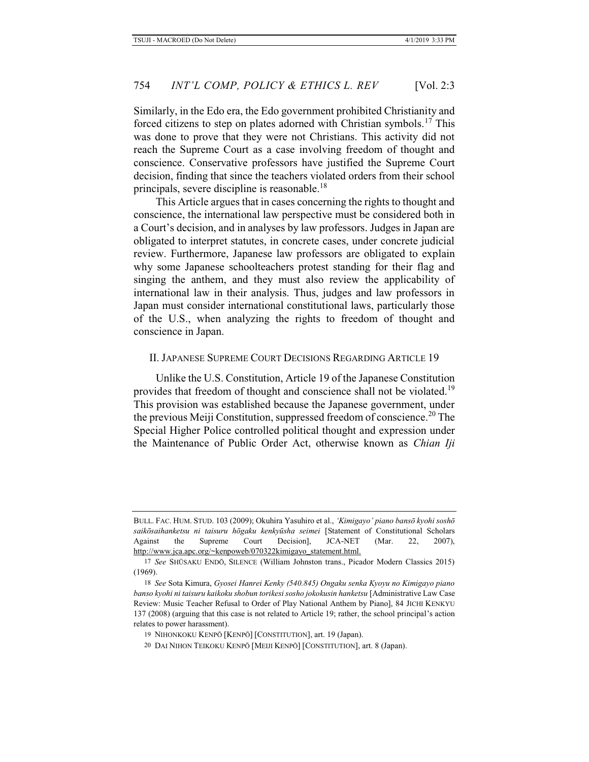Similarly, in the Edo era, the Edo government prohibited Christianity and forced citizens to step on plates adorned with Christian symbols.<sup>17</sup> This was done to prove that they were not Christians. This activity did not reach the Supreme Court as a case involving freedom of thought and conscience. Conservative professors have justified the Supreme Court decision, finding that since the teachers violated orders from their school principals, severe discipline is reasonable.<sup>18</sup>

This Article argues that in cases concerning the rights to thought and conscience, the international law perspective must be considered both in a Court's decision, and in analyses by law professors. Judges in Japan are obligated to interpret statutes, in concrete cases, under concrete judicial review. Furthermore, Japanese law professors are obligated to explain why some Japanese schoolteachers protest standing for their flag and singing the anthem, and they must also review the applicability of international law in their analysis. Thus, judges and law professors in Japan must consider international constitutional laws, particularly those of the U.S., when analyzing the rights to freedom of thought and conscience in Japan.

#### II. JAPANESE SUPREME COURT DECISIONS REGARDING ARTICLE 19

Unlike the U.S. Constitution, Article 19 of the Japanese Constitution provides that freedom of thought and conscience shall not be violated.<sup>19</sup> This provision was established because the Japanese government, under the previous Meiji Constitution, suppressed freedom of conscience.<sup>20</sup> The Special Higher Police controlled political thought and expression under the Maintenance of Public Order Act, otherwise known as *Chian Iji* 

BULL. FAC. HUM. STUD. 103 (2009); Okuhira Yasuhiro et al., *'Kimigayo' piano bansō kyohi soshō saikōsaihanketsu ni taisuru hōgaku kenkyūsha seimei* [Statement of Constitutional Scholars Against the Supreme Court Decision], JCA-NET (Mar. 22, 2007), http://www.jca.apc.org/~kenpoweb/070322kimigayo\_statement.html.

<sup>17</sup> *See* SHŪSAKU ENDŌ, SILENCE (William Johnston trans., Picador Modern Classics 2015) (1969).

<sup>18</sup> *See* Sota Kimura, *Gyosei Hanrei Kenky (540.845) Ongaku senka Kyoyu no Kimigayo piano banso kyohi ni taisuru kaikoku shobun torikesi sosho jokokusin hanketsu* [Administrative Law Case Review: Music Teacher Refusal to Order of Play National Anthem by Piano], 84 JICHI KENKYU 137 (2008) (arguing that this case is not related to Article 19; rather, the school principal's action relates to power harassment).

<sup>19</sup> NIHONKOKU KENPŌ [KENPŌ] [CONSTITUTION], art. 19 (Japan).

<sup>20</sup> DAI NIHON TEIKOKU KENPŌ [MEIJI KENPŌ] [CONSTITUTION], art. 8 (Japan).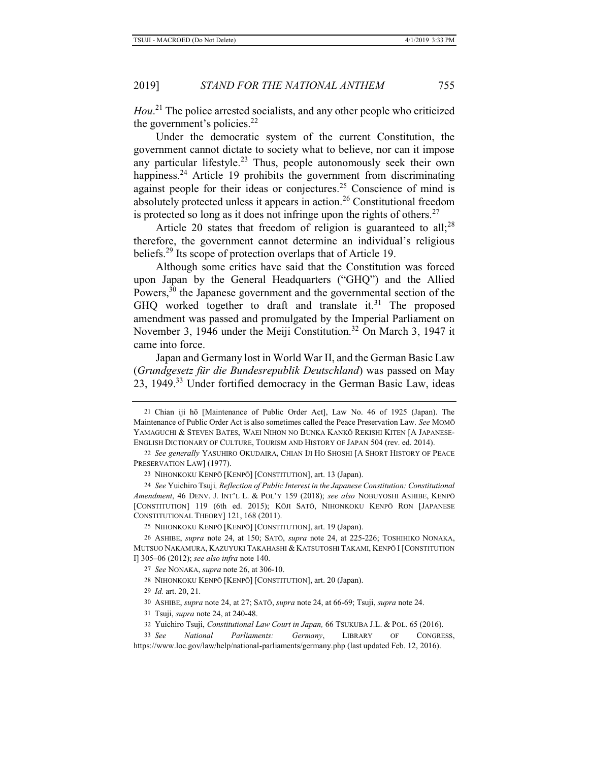*Hou*. 21 The police arrested socialists, and any other people who criticized the government's policies.<sup>22</sup>

Under the democratic system of the current Constitution, the government cannot dictate to society what to believe, nor can it impose any particular lifestyle. $23$  Thus, people autonomously seek their own happiness.<sup>24</sup> Article 19 prohibits the government from discriminating against people for their ideas or conjectures.<sup>25</sup> Conscience of mind is absolutely protected unless it appears in action.26 Constitutional freedom is protected so long as it does not infringe upon the rights of others.<sup>27</sup>

Article 20 states that freedom of religion is guaranteed to all;<sup>28</sup> therefore, the government cannot determine an individual's religious beliefs.29 Its scope of protection overlaps that of Article 19.

Although some critics have said that the Constitution was forced upon Japan by the General Headquarters ("GHQ") and the Allied Powers, $30$  the Japanese government and the governmental section of the GHQ worked together to draft and translate it.<sup>31</sup> The proposed amendment was passed and promulgated by the Imperial Parliament on November 3, 1946 under the Meiji Constitution.<sup>32</sup> On March 3, 1947 it came into force.

Japan and Germany lost in World War II, and the German Basic Law (*Grundgesetz für die Bundesrepublik Deutschland*) was passed on May 23, 1949.<sup>33</sup> Under fortified democracy in the German Basic Law, ideas

29 *Id.* art. 20, 21.

33 *See National Parliaments: Germany*, LIBRARY OF CONGRESS, https://www.loc.gov/law/help/national-parliaments/germany.php (last updated Feb. 12, 2016).

<sup>21</sup> Chian iji hō [Maintenance of Public Order Act], Law No. 46 of 1925 (Japan). The Maintenance of Public Order Act is also sometimes called the Peace Preservation Law. *See* MOMŌ YAMAGUCHI & STEVEN BATES, WAEI NIHON NO BUNKA KANKŌ REKISHI KITEN [A JAPANESE-ENGLISH DICTIONARY OF CULTURE, TOURISM AND HISTORY OF JAPAN 504 (rev. ed. 2014).

<sup>22</sup> *See generally* YASUHIRO OKUDAIRA, CHIAN IJI HO SHOSHI [A SHORT HISTORY OF PEACE PRESERVATION LAW] (1977).

<sup>23</sup> NIHONKOKU KENPŌ [KENPŌ] [CONSTITUTION], art. 13 (Japan).

<sup>24</sup> *See* Yuichiro Tsuji*, Reflection of Public Interest in the Japanese Constitution: Constitutional Amendment*, 46 DENV. J. INT'L L. & POL'Y 159 (2018); *see also* NOBUYOSHI ASHIBE, KENPŌ [CONSTITUTION] 119 (6th ed. 2015); KŌJI SATŌ, NIHONKOKU KENPŌ RON [JAPANESE CONSTITUTIONAL THEORY] 121, 168 (2011).

<sup>25</sup> NIHONKOKU KENPŌ [KENPŌ] [CONSTITUTION], art. 19 (Japan).

<sup>26</sup> ASHIBE, *supra* note 24, at 150; SATŌ, *supra* note 24, at 225-226; TOSHIHIKO NONAKA, MUTSUO NAKAMURA, KAZUYUKI TAKAHASHI & KATSUTOSHI TAKAMI, KENPŌ I [CONSTITUTION I] 305–06 (2012); *see also infra* note 140.

<sup>27</sup> *See* NONAKA, *supra* note 26, at 306-10.

<sup>28</sup> NIHONKOKU KENPŌ [KENPŌ] [CONSTITUTION], art. 20 (Japan).

<sup>30</sup> ASHIBE, *supra* note 24, at 27; SATŌ, *supra* note 24, at 66-69; Tsuji, *supra* note 24.

<sup>31</sup> Tsuji, *supra* note 24, at 240-48.

<sup>32</sup> Yuichiro Tsuji, *Constitutional Law Court in Japan,* 66 TSUKUBA J.L. & POL. 65 (2016).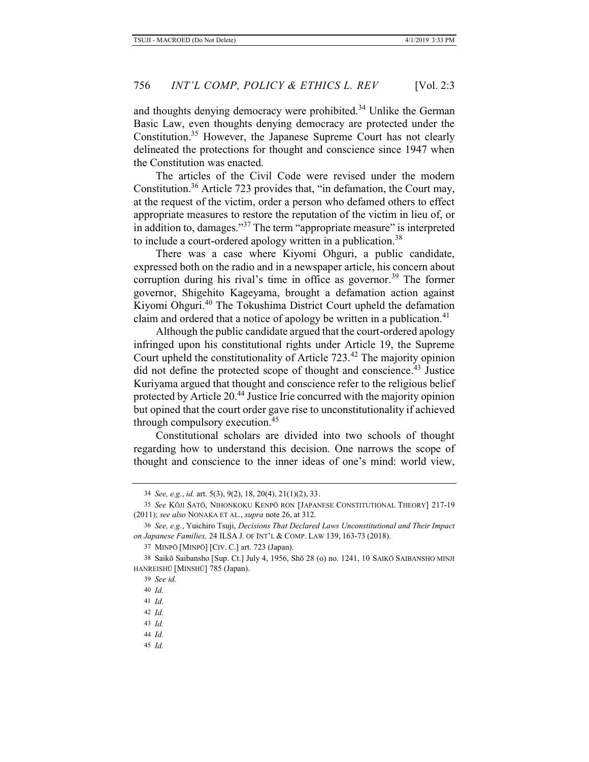and thoughts denying democracy were prohibited.<sup>34</sup> Unlike the German Basic Law, even thoughts denying democracy are protected under the Constitution.35 However, the Japanese Supreme Court has not clearly delineated the protections for thought and conscience since 1947 when the Constitution was enacted.

The articles of the Civil Code were revised under the modern Constitution.36 Article 723 provides that, "in defamation, the Court may, at the request of the victim, order a person who defamed others to effect appropriate measures to restore the reputation of the victim in lieu of, or in addition to, damages."<sup>37</sup> The term "appropriate measure" is interpreted to include a court-ordered apology written in a publication.<sup>38</sup>

There was a case where Kiyomi Ohguri, a public candidate, expressed both on the radio and in a newspaper article, his concern about corruption during his rival's time in office as governor.<sup>39</sup> The former governor, Shigehito Kageyama, brought a defamation action against Kiyomi Ohguri.40 The Tokushima District Court upheld the defamation claim and ordered that a notice of apology be written in a publication.<sup>41</sup>

Although the public candidate argued that the court-ordered apology infringed upon his constitutional rights under Article 19, the Supreme Court upheld the constitutionality of Article 723.<sup>42</sup> The majority opinion did not define the protected scope of thought and conscience.<sup>43</sup> Justice Kuriyama argued that thought and conscience refer to the religious belief protected by Article 20.44 Justice Irie concurred with the majority opinion but opined that the court order gave rise to unconstitutionality if achieved through compulsory execution.<sup>45</sup>

Constitutional scholars are divided into two schools of thought regarding how to understand this decision. One narrows the scope of thought and conscience to the inner ideas of one's mind: world view,

- 44 *Id.*
- 45 *Id.*

<sup>34</sup> *See, e.g.*, *id.* art. 5(3), 9(2), 18, 20(4), 21(1)(2), 33.

<sup>35</sup> *See* KŌJI SATŌ, NIHONKOKU KENPŌ RON [JAPANESE CONSTITUTIONAL THEORY] 217-19 (2011); *see also* NONAKA ET AL., *supra* note 26, at 312.

<sup>36</sup> *See, e.g.*, Yuichiro Tsuji, *Decisions That Declared Laws Unconstitutional and Their Impact on Japanese Families,* 24 ILSA J. OF INT'L & COMP. LAW 139, 163-73 (2018).

<sup>37</sup> MINPŌ [MINPŌ] [CIV. C.] art. 723 (Japan).

<sup>38</sup> Saikō Saibansho [Sup. Ct.] July 4, 1956, Shō 28 (o) no. 1241, 10 SAIKŌ SAIBANSHO MINJI HANREISHŪ [MINSHŪ] 785 (Japan).

<sup>39</sup> *See id.*

<sup>40</sup> *Id.*

<sup>41</sup> *Id.*

<sup>42</sup> *Id.*

<sup>43</sup> *Id.*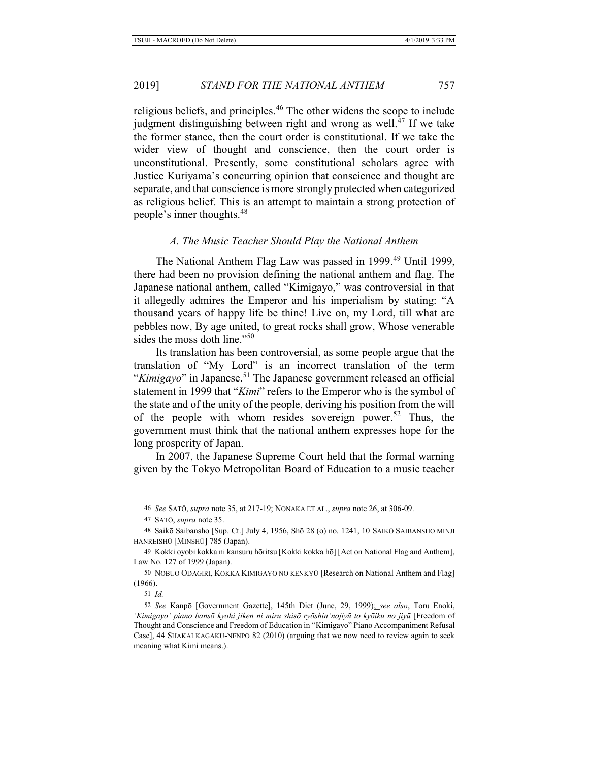religious beliefs, and principles.46 The other widens the scope to include judgment distinguishing between right and wrong as well. $47$  If we take the former stance, then the court order is constitutional. If we take the wider view of thought and conscience, then the court order is unconstitutional. Presently, some constitutional scholars agree with Justice Kuriyama's concurring opinion that conscience and thought are separate, and that conscience is more strongly protected when categorized as religious belief. This is an attempt to maintain a strong protection of people's inner thoughts.<sup>48</sup>

#### *A. The Music Teacher Should Play the National Anthem*

The National Anthem Flag Law was passed in 1999.<sup>49</sup> Until 1999, there had been no provision defining the national anthem and flag. The Japanese national anthem, called "Kimigayo," was controversial in that it allegedly admires the Emperor and his imperialism by stating: "A thousand years of happy life be thine! Live on, my Lord, till what are pebbles now, By age united, to great rocks shall grow, Whose venerable sides the moss doth line."<sup>50</sup>

Its translation has been controversial, as some people argue that the translation of "My Lord" is an incorrect translation of the term "*Kimigayo*" in Japanese.<sup>51</sup> The Japanese government released an official statement in 1999 that "*Kimi*" refers to the Emperor who is the symbol of the state and of the unity of the people, deriving his position from the will of the people with whom resides sovereign power.<sup>52</sup> Thus, the government must think that the national anthem expresses hope for the long prosperity of Japan.

In 2007, the Japanese Supreme Court held that the formal warning given by the Tokyo Metropolitan Board of Education to a music teacher

51 *Id.*

<sup>46</sup> *See* SATŌ, *supra* note 35, at 217-19; NONAKA ET AL., *supra* note 26, at 306-09.

<sup>47</sup> SATŌ, *supra* note 35.

<sup>48</sup> Saikō Saibansho [Sup. Ct.] July 4, 1956, Shō 28 (o) no. 1241, 10 SAIKŌ SAIBANSHO MINJI HANREISHŪ [MINSHŪ] 785 (Japan).

<sup>49</sup> Kokki oyobi kokka ni kansuru hōritsu [Kokki kokka hō] [Act on National Flag and Anthem], Law No. 127 of 1999 (Japan).

<sup>50</sup> NOBUO ODAGIRI, KOKKA KIMIGAYO NO KENKYŪ [Research on National Anthem and Flag] (1966).

<sup>52</sup> *See* Kanpō [Government Gazette], 145th Diet (June, 29, 1999); *see also*, Toru Enoki, *'Kimigayo' piano bansō kyohi jiken ni miru shisō ryōshin'nojiyū to kyōiku no jiyū* [Freedom of Thought and Conscience and Freedom of Education in "Kimigayo" Piano Accompaniment Refusal Case], 44 SHAKAI KAGAKU-NENPO 82 (2010) (arguing that we now need to review again to seek meaning what Kimi means.).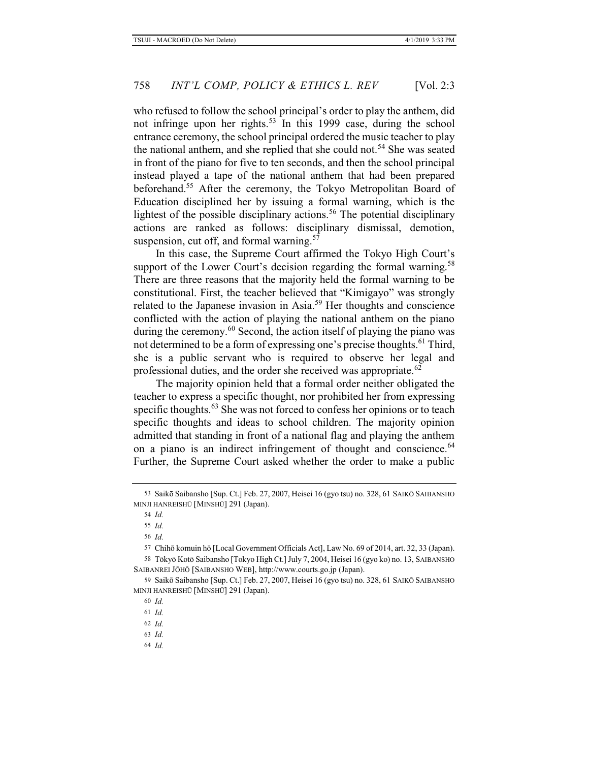who refused to follow the school principal's order to play the anthem, did not infringe upon her rights.<sup>53</sup> In this 1999 case, during the school entrance ceremony, the school principal ordered the music teacher to play the national anthem, and she replied that she could not.<sup>54</sup> She was seated in front of the piano for five to ten seconds, and then the school principal instead played a tape of the national anthem that had been prepared beforehand.<sup>55</sup> After the ceremony, the Tokyo Metropolitan Board of Education disciplined her by issuing a formal warning, which is the lightest of the possible disciplinary actions.<sup>56</sup> The potential disciplinary actions are ranked as follows: disciplinary dismissal, demotion, suspension, cut off, and formal warning. $57$ 

In this case, the Supreme Court affirmed the Tokyo High Court's support of the Lower Court's decision regarding the formal warning.<sup>58</sup> There are three reasons that the majority held the formal warning to be constitutional. First, the teacher believed that "Kimigayo" was strongly related to the Japanese invasion in Asia.59 Her thoughts and conscience conflicted with the action of playing the national anthem on the piano during the ceremony.<sup>60</sup> Second, the action itself of playing the piano was not determined to be a form of expressing one's precise thoughts.<sup>61</sup> Third, she is a public servant who is required to observe her legal and professional duties, and the order she received was appropriate.<sup>62</sup>

The majority opinion held that a formal order neither obligated the teacher to express a specific thought, nor prohibited her from expressing specific thoughts.<sup>63</sup> She was not forced to confess her opinions or to teach specific thoughts and ideas to school children. The majority opinion admitted that standing in front of a national flag and playing the anthem on a piano is an indirect infringement of thought and conscience.<sup>64</sup> Further, the Supreme Court asked whether the order to make a public

57 Chihō komuin hō [Local Government Officials Act], Law No. 69 of 2014, art. 32, 33 (Japan). 58 Tōkyō Kotō Saibansho [Tokyo High Ct.] July 7, 2004, Heisei 16 (gyo ko) no. 13, SAIBANSHO

SAIBANREI JŌHŌ [SAIBANSHO WEB], http://www.courts.go.jp (Japan).

59 Saikō Saibansho [Sup. Ct.] Feb. 27, 2007, Heisei 16 (gyo tsu) no. 328, 61 SAIKŌ SAIBANSHO MINJI HANREISHŪ [MINSHŪ] 291 (Japan).

- 63 *Id.*
- 64 *Id.*

<sup>53</sup> Saikō Saibansho [Sup. Ct.] Feb. 27, 2007, Heisei 16 (gyo tsu) no. 328, 61 SAIKŌ SAIBANSHO MINJI HANREISHŪ [MINSHŪ] 291 (Japan).

<sup>54</sup> *Id.*

<sup>55</sup> *Id.*

<sup>56</sup> *Id.*

<sup>60</sup> *Id.*

<sup>61</sup> *Id.*

<sup>62</sup> *Id.*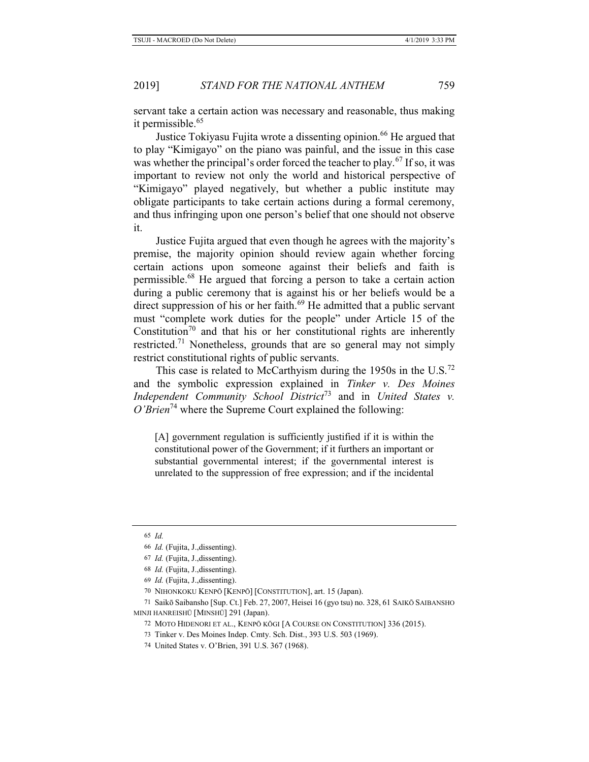servant take a certain action was necessary and reasonable, thus making it permissible.<sup>65</sup>

Justice Tokiyasu Fujita wrote a dissenting opinion.<sup>66</sup> He argued that to play "Kimigayo" on the piano was painful, and the issue in this case was whether the principal's order forced the teacher to play.<sup>67</sup> If so, it was important to review not only the world and historical perspective of "Kimigayo" played negatively, but whether a public institute may obligate participants to take certain actions during a formal ceremony, and thus infringing upon one person's belief that one should not observe it.

Justice Fujita argued that even though he agrees with the majority's premise, the majority opinion should review again whether forcing certain actions upon someone against their beliefs and faith is permissible.68 He argued that forcing a person to take a certain action during a public ceremony that is against his or her beliefs would be a direct suppression of his or her faith.<sup>69</sup> He admitted that a public servant must "complete work duties for the people" under Article 15 of the Constitution<sup>70</sup> and that his or her constitutional rights are inherently restricted.71 Nonetheless, grounds that are so general may not simply restrict constitutional rights of public servants.

This case is related to McCarthyism during the  $1950s$  in the U.S.<sup>72</sup> and the symbolic expression explained in *Tinker v. Des Moines Independent Community School District*73 and in *United States v. O'Brien*74 where the Supreme Court explained the following:

[A] government regulation is sufficiently justified if it is within the constitutional power of the Government; if it furthers an important or substantial governmental interest; if the governmental interest is unrelated to the suppression of free expression; and if the incidental

<sup>65</sup> *Id.*

<sup>66</sup> *Id.* (Fujita, J.,dissenting).

<sup>67</sup> *Id.* (Fujita, J.,dissenting).

<sup>68</sup> *Id.* (Fujita, J.,dissenting).

<sup>69</sup> *Id.* (Fujita, J.,dissenting).

<sup>70</sup> NIHONKOKU KENPŌ [KENPŌ] [CONSTITUTION], art. 15 (Japan).

<sup>71</sup> Saikō Saibansho [Sup. Ct.] Feb. 27, 2007, Heisei 16 (gyo tsu) no. 328, 61 SAIKŌ SAIBANSHO MINJI HANREISHŪ [MINSHŪ] 291 (Japan).

<sup>72</sup> MOTO HIDENORI ET AL., KENPŌ KŌGI [A COURSE ON CONSTITUTION] 336 (2015).

<sup>73</sup> Tinker v. Des Moines Indep. Cmty. Sch. Dist., 393 U.S. 503 (1969).

<sup>74</sup> United States v. O'Brien, 391 U.S. 367 (1968).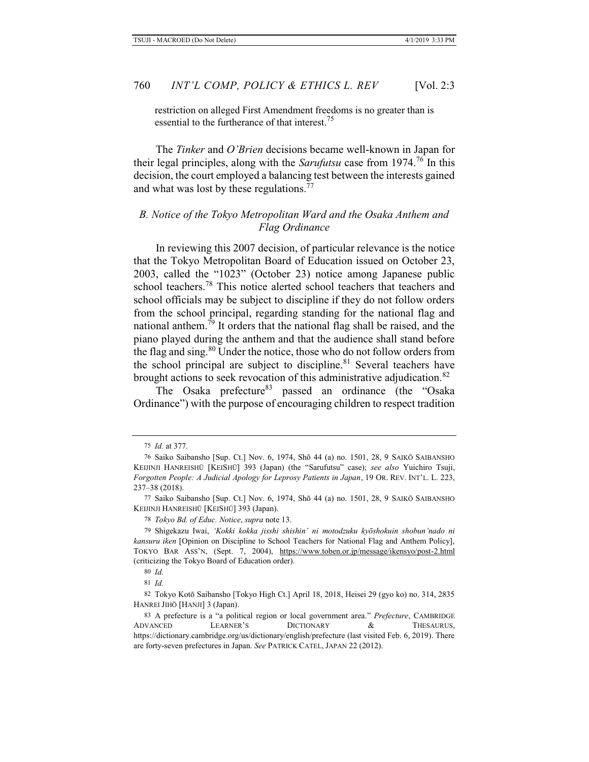restriction on alleged First Amendment freedoms is no greater than is essential to the furtherance of that interest.<sup>75</sup>

The *Tinker* and *O'Brien* decisions became well-known in Japan for their legal principles, along with the *Sarufutsu* case from 1974.76 In this decision, the court employed a balancing test between the interests gained and what was lost by these regulations.<sup>77</sup>

## *B. Notice of the Tokyo Metropolitan Ward and the Osaka Anthem and Flag Ordinance*

In reviewing this 2007 decision, of particular relevance is the notice that the Tokyo Metropolitan Board of Education issued on October 23, 2003, called the "1023" (October 23) notice among Japanese public school teachers.<sup>78</sup> This notice alerted school teachers that teachers and school officials may be subject to discipline if they do not follow orders from the school principal, regarding standing for the national flag and national anthem.<sup> $\tilde{7}9$ </sup> It orders that the national flag shall be raised, and the piano played during the anthem and that the audience shall stand before the flag and sing.<sup>80</sup> Under the notice, those who do not follow orders from the school principal are subject to discipline. $81$  Several teachers have brought actions to seek revocation of this administrative adjudication.<sup>82</sup>

The Osaka prefecture $83$  passed an ordinance (the "Osaka Ordinance") with the purpose of encouraging children to respect tradition

81 *Id.*

82 Tokyo Kotō Saibansho [Tokyo High Ct.] April 18, 2018, Heisei 29 (gyo ko) no. 314, 2835 HANREI JIHŌ [HANJI] 3 (Japan).

<sup>75</sup> *Id.* at 377.

<sup>76</sup> Saiko Saibansho [Sup. Ct.] Nov. 6, 1974, Shō 44 (a) no. 1501, 28, 9 SAIKŌ SAIBANSHO KEIJINJI HANREISHŪ [KEISHŪ] 393 (Japan) (the "Sarufutsu" case); *see also* Yuichiro Tsuji, *Forgotten People: A Judicial Apology for Leprosy Patients in Japan*, 19 OR. REV. INT'L. L. 223, 237–38 (2018).

<sup>77</sup> Saiko Saibansho [Sup. Ct.] Nov. 6, 1974, Shō 44 (a) no. 1501, 28, 9 SAIKŌ SAIBANSHO KEIJINJI HANREISHŪ [KEISHŪ] 393 (Japan).

<sup>78</sup> *Tokyo Bd. of Educ. Notice*, *supra* note 13.

<sup>79</sup> Shigekazu Iwai, *'Kokki kokka jisshi shishin' ni motodzuku kyōshokuin shobun'nado ni kansuru iken* [Opinion on Discipline to School Teachers for National Flag and Anthem Policy], TOKYO BAR ASS'N, (Sept. 7, 2004), https://www.toben.or.jp/message/ikensyo/post-2.html (criticizing the Tokyo Board of Education order).

<sup>80</sup> *Id.*

<sup>83</sup> A prefecture is a "a political region or local government area." *Prefecture*, CAMBRIDGE ADVANCED LEARNER'S DICTIONARY & THESAURUS, https://dictionary.cambridge.org/us/dictionary/english/prefecture (last visited Feb. 6, 2019). There are forty-seven prefectures in Japan. *See* PATRICK CATEL, JAPAN 22 (2012).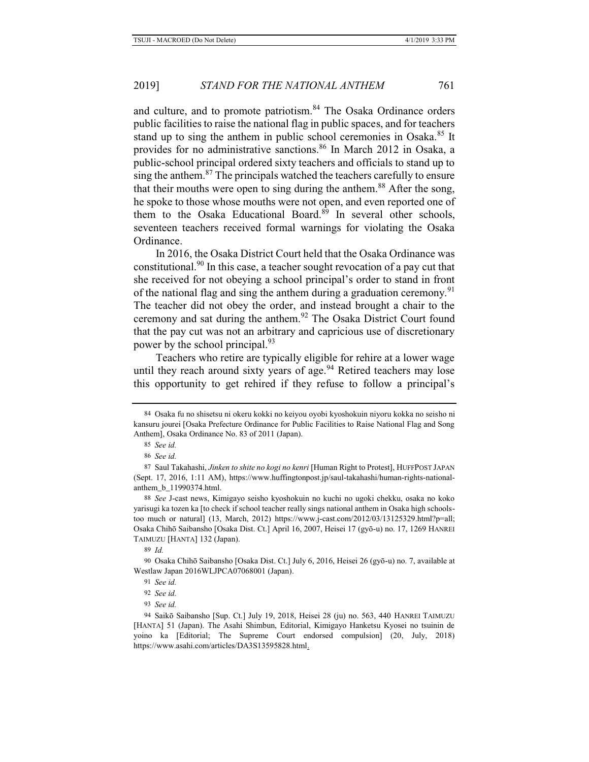and culture, and to promote patriotism.<sup>84</sup> The Osaka Ordinance orders public facilities to raise the national flag in public spaces, and for teachers stand up to sing the anthem in public school ceremonies in Osaka.<sup>85</sup> It provides for no administrative sanctions.<sup>86</sup> In March 2012 in Osaka, a public-school principal ordered sixty teachers and officials to stand up to sing the anthem. $87$  The principals watched the teachers carefully to ensure that their mouths were open to sing during the anthem.<sup>88</sup> After the song, he spoke to those whose mouths were not open, and even reported one of them to the Osaka Educational Board. $89$  In several other schools, seventeen teachers received formal warnings for violating the Osaka Ordinance.

In 2016, the Osaka District Court held that the Osaka Ordinance was constitutional.<sup>90</sup> In this case, a teacher sought revocation of a pay cut that she received for not obeying a school principal's order to stand in front of the national flag and sing the anthem during a graduation ceremony.<sup>91</sup> The teacher did not obey the order, and instead brought a chair to the ceremony and sat during the anthem.<sup>92</sup> The Osaka District Court found that the pay cut was not an arbitrary and capricious use of discretionary power by the school principal.<sup>93</sup>

Teachers who retire are typically eligible for rehire at a lower wage until they reach around sixty years of age. $94$  Retired teachers may lose this opportunity to get rehired if they refuse to follow a principal's

<sup>84</sup> Osaka fu no shisetsu ni okeru kokki no keiyou oyobi kyoshokuin niyoru kokka no seisho ni kansuru jourei [Osaka Prefecture Ordinance for Public Facilities to Raise National Flag and Song Anthem], Osaka Ordinance No. 83 of 2011 (Japan).

<sup>85</sup> *See id.*

<sup>86</sup> *See id.*

<sup>87</sup> Saul Takahashi, *Jinken to shite no kogi no kenri* [Human Right to Protest], HUFFPOST JAPAN (Sept. 17, 2016, 1:11 AM), https://www.huffingtonpost.jp/saul-takahashi/human-rights-nationalanthem\_b\_11990374.html.

<sup>88</sup> *See* J-cast news, Kimigayo seisho kyoshokuin no kuchi no ugoki chekku, osaka no koko yarisugi ka tozen ka [to check if school teacher really sings national anthem in Osaka high schoolstoo much or natural] (13, March, 2012) https://www.j-cast.com/2012/03/13125329.html?p=all; Osaka Chihō Saibansho [Osaka Dist. Ct.] April 16, 2007, Heisei 17 (gyō-u) no. 17, 1269 HANREI TAIMUZU [HANTA] 132 (Japan).

<sup>89</sup> *Id.*

<sup>90</sup> Osaka Chihō Saibansho [Osaka Dist. Ct.] July 6, 2016, Heisei 26 (gyō-u) no. 7, available at Westlaw Japan 2016WLJPCA07068001 (Japan).

<sup>91</sup> *See id.*

<sup>92</sup> *See id.*

<sup>93</sup> *See id.*

<sup>94</sup> Saikō Saibansho [Sup. Ct.] July 19, 2018, Heisei 28 (ju) no. 563, 440 HANREI TAIMUZU [HANTA] 51 (Japan). The Asahi Shimbun, Editorial, Kimigayo Hanketsu Kyosei no tsuinin de yoino ka [Editorial; The Supreme Court endorsed compulsion] (20, July, 2018) https://www.asahi.com/articles/DA3S13595828.html.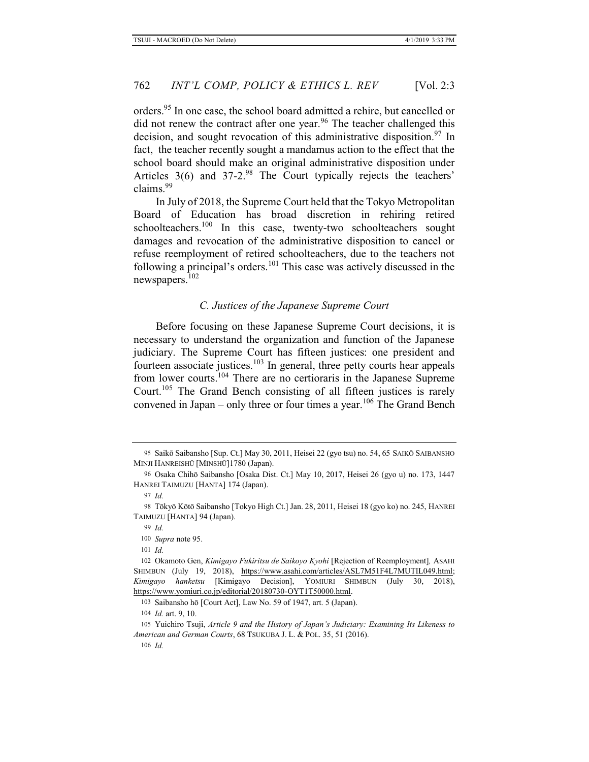orders.<sup>95</sup> In one case, the school board admitted a rehire, but cancelled or did not renew the contract after one year.<sup>96</sup> The teacher challenged this decision, and sought revocation of this administrative disposition.<sup>97</sup> In fact, the teacher recently sought a mandamus action to the effect that the school board should make an original administrative disposition under Articles  $3(6)$  and  $37-2$ .<sup>98</sup> The Court typically rejects the teachers' claims.99

In July of 2018, the Supreme Court held that the Tokyo Metropolitan Board of Education has broad discretion in rehiring retired schoolteachers.<sup>100</sup> In this case, twenty-two schoolteachers sought damages and revocation of the administrative disposition to cancel or refuse reemployment of retired schoolteachers, due to the teachers not following a principal's orders.101 This case was actively discussed in the newspapers.102

### *C. Justices of the Japanese Supreme Court*

Before focusing on these Japanese Supreme Court decisions, it is necessary to understand the organization and function of the Japanese judiciary. The Supreme Court has fifteen justices: one president and fourteen associate justices.103 In general, three petty courts hear appeals from lower courts.104 There are no certioraris in the Japanese Supreme Court.<sup>105</sup> The Grand Bench consisting of all fifteen justices is rarely convened in Japan – only three or four times a year.<sup>106</sup> The Grand Bench

100 *Supra* note 95.

<sup>95</sup> Saikō Saibansho [Sup. Ct.] May 30, 2011, Heisei 22 (gyo tsu) no. 54, 65 SAIKŌ SAIBANSHO MINJI HANREISHŪ [MINSHŪ]1780 (Japan).

<sup>96</sup> Osaka Chihō Saibansho [Osaka Dist. Ct.] May 10, 2017, Heisei 26 (gyo u) no. 173, 1447 HANREI TAIMUZU [HANTA] 174 (Japan).

<sup>97</sup> *Id.*

<sup>98</sup> Tōkyō Kōtō Saibansho [Tokyo High Ct.] Jan. 28, 2011, Heisei 18 (gyo ko) no. 245, HANREI TAIMUZU [HANTA] 94 (Japan).

<sup>99</sup> *Id.*

<sup>101</sup> *Id.*

<sup>102</sup> Okamoto Gen, *Kimigayo Fukiritsu de Saikoyo Kyohi* [Rejection of Reemployment]*,* ASAHI SHIMBUN (July 19, 2018), https://www.asahi.com/articles/ASL7M51F4L7MUTIL049.html; *Kimigayo hanketsu* [Kimigayo Decision], YOMIURI SHIMBUN (July 30, 2018), https://www.yomiuri.co.jp/editorial/20180730-OYT1T50000.html.

<sup>103</sup> Saibansho hō [Court Act], Law No. 59 of 1947, art. 5 (Japan).

<sup>104</sup> *Id.* art. 9, 10.

<sup>105</sup> Yuichiro Tsuji, *Article 9 and the History of Japan's Judiciary: Examining Its Likeness to American and German Courts*, 68 TSUKUBA J. L. & POL. 35, 51 (2016).

<sup>106</sup> *Id.*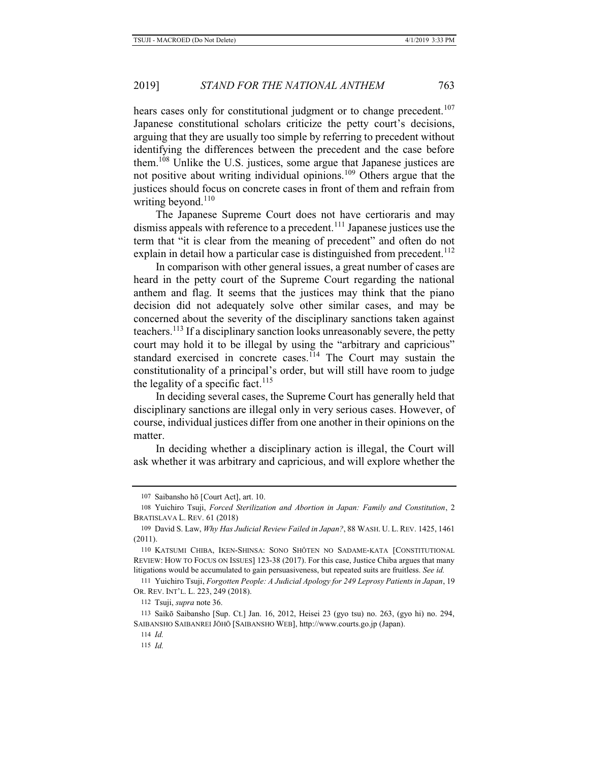hears cases only for constitutional judgment or to change precedent.<sup>107</sup> Japanese constitutional scholars criticize the petty court's decisions, arguing that they are usually too simple by referring to precedent without identifying the differences between the precedent and the case before them.108 Unlike the U.S. justices, some argue that Japanese justices are not positive about writing individual opinions.<sup>109</sup> Others argue that the justices should focus on concrete cases in front of them and refrain from writing beyond. $110$ 

The Japanese Supreme Court does not have certioraris and may dismiss appeals with reference to a precedent.<sup>111</sup> Japanese justices use the term that "it is clear from the meaning of precedent" and often do not explain in detail how a particular case is distinguished from precedent.<sup>112</sup>

In comparison with other general issues, a great number of cases are heard in the petty court of the Supreme Court regarding the national anthem and flag. It seems that the justices may think that the piano decision did not adequately solve other similar cases, and may be concerned about the severity of the disciplinary sanctions taken against teachers.<sup>113</sup> If a disciplinary sanction looks unreasonably severe, the petty court may hold it to be illegal by using the "arbitrary and capricious" standard exercised in concrete cases.<sup>114</sup> The Court may sustain the constitutionality of a principal's order, but will still have room to judge the legality of a specific fact.<sup>115</sup>

In deciding several cases, the Supreme Court has generally held that disciplinary sanctions are illegal only in very serious cases. However, of course, individual justices differ from one another in their opinions on the matter.

In deciding whether a disciplinary action is illegal, the Court will ask whether it was arbitrary and capricious, and will explore whether the

110 KATSUMI CHIBA, IKEN-SHINSA: SONO SHÔTEN NO SADAME-KATA [CONSTITUTIONAL REVIEW: HOW TO FOCUS ON ISSUES] 123-38 (2017). For this case, Justice Chiba argues that many litigations would be accumulated to gain persuasiveness, but repeated suits are fruitless. *See id.* 

111 Yuichiro Tsuji, *Forgotten People: A Judicial Apology for 249 Leprosy Patients in Japan*, 19 OR. REV. INT'L. L. 223, 249 (2018).

112 Tsuji, *supra* note 36.

<sup>107</sup> Saibansho hō [Court Act], art. 10.

<sup>108</sup> Yuichiro Tsuji, *Forced Sterilization and Abortion in Japan: Family and Constitution*, 2 BRATISLAVA L. REV. 61 (2018)

<sup>109</sup> David S. Law, *Why Has Judicial Review Failed in Japan?*, 88 WASH. U. L. REV. 1425, 1461 (2011).

<sup>113</sup> Saikō Saibansho [Sup. Ct.] Jan. 16, 2012, Heisei 23 (gyo tsu) no. 263, (gyo hi) no. 294, SAIBANSHO SAIBANREI JŌHŌ [SAIBANSHO WEB], http://www.courts.go.jp (Japan).

<sup>114</sup> *Id.*

<sup>115</sup> *Id.*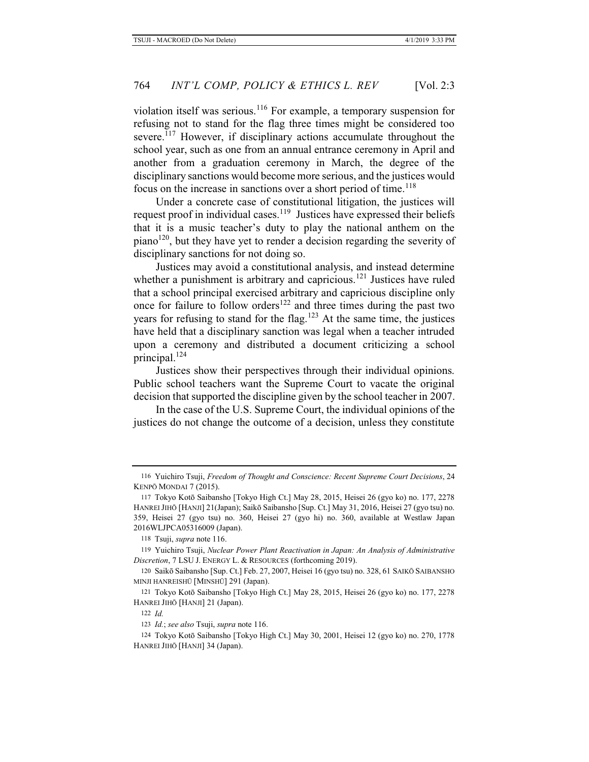violation itself was serious.116 For example, a temporary suspension for refusing not to stand for the flag three times might be considered too severe.<sup>117</sup> However, if disciplinary actions accumulate throughout the school year, such as one from an annual entrance ceremony in April and another from a graduation ceremony in March, the degree of the disciplinary sanctions would become more serious, and the justices would focus on the increase in sanctions over a short period of time.<sup>118</sup>

Under a concrete case of constitutional litigation, the justices will request proof in individual cases.<sup>119</sup> Justices have expressed their beliefs that it is a music teacher's duty to play the national anthem on the  $piano<sup>120</sup>$ , but they have yet to render a decision regarding the severity of disciplinary sanctions for not doing so.

Justices may avoid a constitutional analysis, and instead determine whether a punishment is arbitrary and capricious.<sup>121</sup> Justices have ruled that a school principal exercised arbitrary and capricious discipline only once for failure to follow orders<sup>122</sup> and three times during the past two years for refusing to stand for the flag.<sup>123</sup> At the same time, the justices have held that a disciplinary sanction was legal when a teacher intruded upon a ceremony and distributed a document criticizing a school principal.124

Justices show their perspectives through their individual opinions. Public school teachers want the Supreme Court to vacate the original decision that supported the discipline given by the school teacher in 2007.

In the case of the U.S. Supreme Court, the individual opinions of the justices do not change the outcome of a decision, unless they constitute

<sup>116</sup> Yuichiro Tsuji, *Freedom of Thought and Conscience: Recent Supreme Court Decisions*, 24 KENPŌ MONDAI 7 (2015).

<sup>117</sup> Tokyo Kotō Saibansho [Tokyo High Ct.] May 28, 2015, Heisei 26 (gyo ko) no. 177, 2278 HANREI JIHŌ [HANJI] 21(Japan); Saikō Saibansho [Sup. Ct.] May 31, 2016, Heisei 27 (gyo tsu) no. 359, Heisei 27 (gyo tsu) no. 360, Heisei 27 (gyo hi) no. 360, available at Westlaw Japan 2016WLJPCA05316009 (Japan).

<sup>118</sup> Tsuji, *supra* note 116.

<sup>119</sup> Yuichiro Tsuji, *Nuclear Power Plant Reactivation in Japan: An Analysis of Administrative Discretion*, 7 LSU J. ENERGY L. & RESOURCES (forthcoming 2019).

<sup>120</sup> Saikō Saibansho [Sup. Ct.] Feb. 27, 2007, Heisei 16 (gyo tsu) no. 328, 61 SAIKŌ SAIBANSHO MINJI HANREISHŪ [MINSHŪ] 291 (Japan).

<sup>121</sup> Tokyo Kotō Saibansho [Tokyo High Ct.] May 28, 2015, Heisei 26 (gyo ko) no. 177, 2278 HANREI JIHŌ [HANJI] 21 (Japan).

<sup>122</sup> *Id.*

<sup>123</sup> *Id.*; *see also* Tsuji, *supra* note 116.

<sup>124</sup> Tokyo Kotō Saibansho [Tokyo High Ct.] May 30, 2001, Heisei 12 (gyo ko) no. 270, 1778 HANREI JIHŌ [HANJI] 34 (Japan).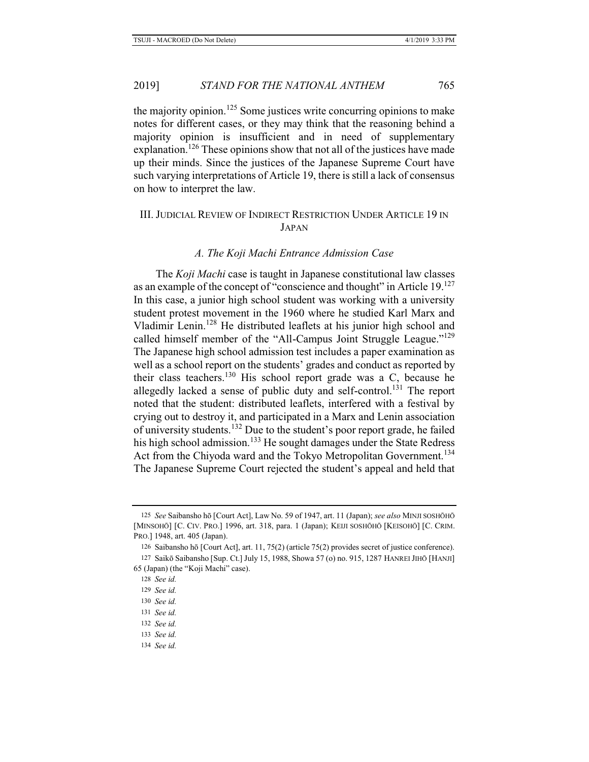the majority opinion.<sup>125</sup> Some justices write concurring opinions to make notes for different cases, or they may think that the reasoning behind a majority opinion is insufficient and in need of supplementary explanation.<sup>126</sup> These opinions show that not all of the justices have made up their minds. Since the justices of the Japanese Supreme Court have such varying interpretations of Article 19, there is still a lack of consensus on how to interpret the law.

### III. JUDICIAL REVIEW OF INDIRECT RESTRICTION UNDER ARTICLE 19 IN JAPAN

#### *A. The Koji Machi Entrance Admission Case*

The *Koji Machi* case is taught in Japanese constitutional law classes as an example of the concept of "conscience and thought" in Article 19.<sup>127</sup> In this case, a junior high school student was working with a university student protest movement in the 1960 where he studied Karl Marx and Vladimir Lenin.128 He distributed leaflets at his junior high school and called himself member of the "All-Campus Joint Struggle League."<sup>129</sup> The Japanese high school admission test includes a paper examination as well as a school report on the students' grades and conduct as reported by their class teachers.130 His school report grade was a C, because he allegedly lacked a sense of public duty and self-control.131 The report noted that the student: distributed leaflets, interfered with a festival by crying out to destroy it, and participated in a Marx and Lenin association of university students.<sup>132</sup> Due to the student's poor report grade, he failed his high school admission.<sup>133</sup> He sought damages under the State Redress Act from the Chiyoda ward and the Tokyo Metropolitan Government.<sup>134</sup> The Japanese Supreme Court rejected the student's appeal and held that

- 133 *See id.*
- 134 *See id.*

<sup>125</sup> *See* Saibansho hō [Court Act], Law No. 59 of 1947, art. 11 (Japan); *see also* MINJI SOSHŌHŌ [MINSOHŌ] [C. CIV. PRO.] 1996, art. 318, para. 1 (Japan); KEIJI SOSHŌHŌ [KEISOHŌ] [C. CRIM. PRO.] 1948, art. 405 (Japan).

<sup>126</sup> Saibansho hō [Court Act], art. 11, 75(2) (article 75(2) provides secret of justice conference).

<sup>127</sup> Saikō Saibansho [Sup. Ct.] July 15, 1988, Showa 57 (o) no. 915, 1287 HANREI JIHŌ [HANJI] 65 (Japan) (the "Koji Machi" case).

<sup>128</sup> *See id.*

<sup>129</sup> *See id.*

<sup>130</sup> *See id.*

<sup>131</sup> *See id.*

<sup>132</sup> *See id.*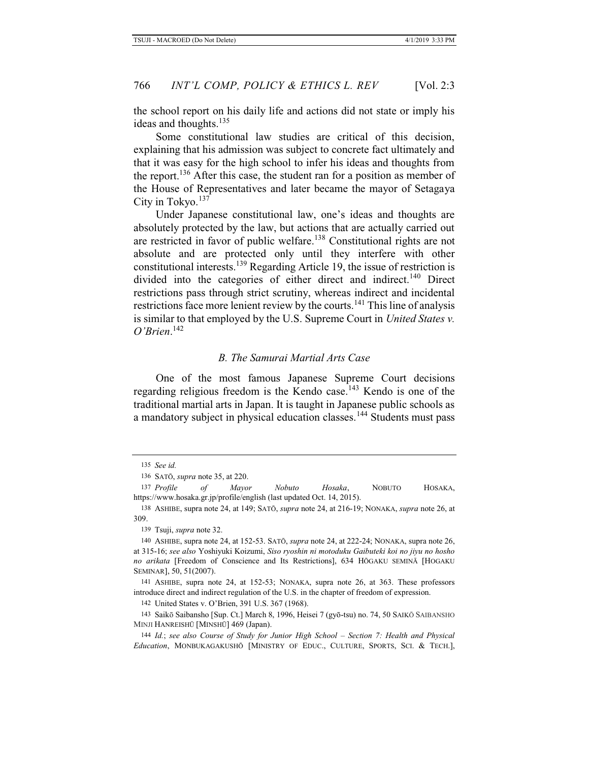the school report on his daily life and actions did not state or imply his ideas and thoughts.<sup>135</sup>

Some constitutional law studies are critical of this decision, explaining that his admission was subject to concrete fact ultimately and that it was easy for the high school to infer his ideas and thoughts from the report.<sup>136</sup> After this case, the student ran for a position as member of the House of Representatives and later became the mayor of Setagaya City in Tokyo. $137$ 

Under Japanese constitutional law, one's ideas and thoughts are absolutely protected by the law, but actions that are actually carried out are restricted in favor of public welfare.138 Constitutional rights are not absolute and are protected only until they interfere with other constitutional interests.139 Regarding Article 19, the issue of restriction is divided into the categories of either direct and indirect.<sup>140</sup> Direct restrictions pass through strict scrutiny, whereas indirect and incidental restrictions face more lenient review by the courts.<sup>141</sup> This line of analysis is similar to that employed by the U.S. Supreme Court in *United States v. O'Brien*. 142

### *B. The Samurai Martial Arts Case*

One of the most famous Japanese Supreme Court decisions regarding religious freedom is the Kendo case.<sup>143</sup> Kendo is one of the traditional martial arts in Japan. It is taught in Japanese public schools as a mandatory subject in physical education classes.144 Students must pass

137 *Profile of Mayor Nobuto Hosaka*, NOBUTO HOSAKA, https://www.hosaka.gr.jp/profile/english (last updated Oct. 14, 2015).

138 ASHIBE, supra note 24, at 149; SATŌ, *supra* note 24, at 216-19; NONAKA, *supra* note 26, at 309.

139 Tsuji, *supra* note 32.

141 ASHIBE, supra note 24, at 152-53; NONAKA, supra note 26, at 363. These professors introduce direct and indirect regulation of the U.S. in the chapter of freedom of expression.

142 United States v. O'Brien, 391 U.S. 367 (1968).

<sup>135</sup> *See id.*

<sup>136</sup> SATŌ, *supra* note 35, at 220.

<sup>140</sup> ASHIBE, supra note 24, at 152-53. SATŌ, *supra* note 24, at 222-24; NONAKA, supra note 26, at 315-16; *see also* Yoshiyuki Koizumi, *Siso ryoshin ni motoduku Gaibuteki koi no jiyu no hosho no arikata* [Freedom of Conscience and Its Restrictions], 634 HŌGAKU SEMINĀ [HOGAKU SEMINAR], 50, 51(2007).

<sup>143</sup> Saikō Saibansho [Sup. Ct.] March 8, 1996, Heisei 7 (gyō-tsu) no. 74, 50 SAIKŌ SAIBANSHO MINJI HANREISHŪ [MINSHŪ] 469 (Japan).

<sup>144</sup> *Id.*; *see also Course of Study for Junior High School – Section 7: Health and Physical Education*, MONBUKAGAKUSHŌ [MINISTRY OF EDUC., CULTURE, SPORTS, SCI. & TECH.],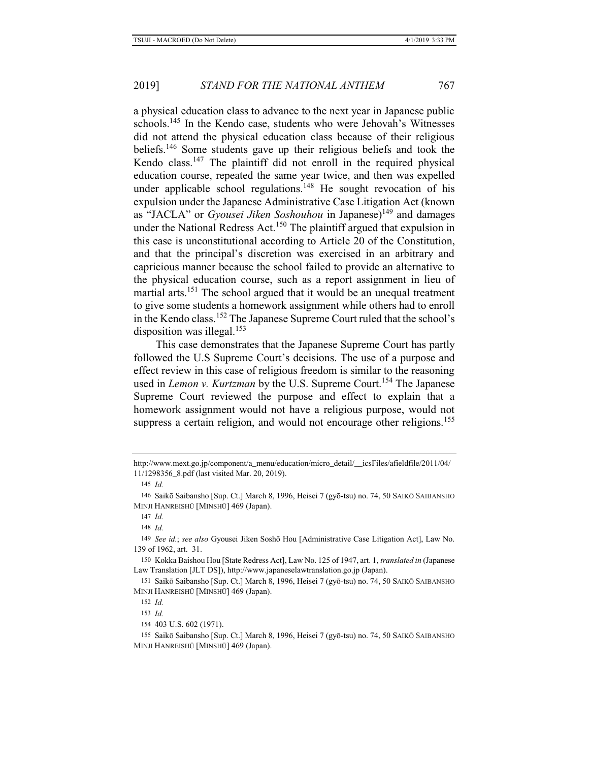a physical education class to advance to the next year in Japanese public schools.<sup>145</sup> In the Kendo case, students who were Jehovah's Witnesses did not attend the physical education class because of their religious beliefs.146 Some students gave up their religious beliefs and took the Kendo class.<sup>147</sup> The plaintiff did not enroll in the required physical education course, repeated the same year twice, and then was expelled under applicable school regulations.<sup>148</sup> He sought revocation of his expulsion under the Japanese Administrative Case Litigation Act (known as "JACLA" or *Gyousei Jiken Soshouhou* in Japanese)<sup>149</sup> and damages under the National Redress Act.<sup>150</sup> The plaintiff argued that expulsion in this case is unconstitutional according to Article 20 of the Constitution, and that the principal's discretion was exercised in an arbitrary and capricious manner because the school failed to provide an alternative to the physical education course, such as a report assignment in lieu of martial arts.<sup>151</sup> The school argued that it would be an unequal treatment to give some students a homework assignment while others had to enroll in the Kendo class.<sup>152</sup> The Japanese Supreme Court ruled that the school's disposition was illegal.<sup>153</sup>

This case demonstrates that the Japanese Supreme Court has partly followed the U.S Supreme Court's decisions. The use of a purpose and effect review in this case of religious freedom is similar to the reasoning used in *Lemon v. Kurtzman* by the U.S. Supreme Court.<sup>154</sup> The Japanese Supreme Court reviewed the purpose and effect to explain that a homework assignment would not have a religious purpose, would not suppress a certain religion, and would not encourage other religions.<sup>155</sup>

http://www.mext.go.jp/component/a\_menu/education/micro\_detail/\_\_icsFiles/afieldfile/2011/04/ 11/1298356\_8.pdf (last visited Mar. 20, 2019).

<sup>145</sup> *Id.*

<sup>146</sup> Saikō Saibansho [Sup. Ct.] March 8, 1996, Heisei 7 (gyō-tsu) no. 74, 50 SAIKŌ SAIBANSHO MINJI HANREISHŪ [MINSHŪ] 469 (Japan).

<sup>147</sup> *Id.*

<sup>148</sup> *Id.*

<sup>149</sup> *See id.*; *see also* Gyousei Jiken Soshō Hou [Administrative Case Litigation Act], Law No. 139 of 1962, art. 31.

<sup>150</sup> Kokka Baishou Hou [State Redress Act], Law No. 125 of 1947, art. 1, *translated in* (Japanese Law Translation [JLT DS]), http://www.japaneselawtranslation.go.jp (Japan).

<sup>151</sup> Saikō Saibansho [Sup. Ct.] March 8, 1996, Heisei 7 (gyō-tsu) no. 74, 50 SAIKŌ SAIBANSHO MINJI HANREISHŪ [MINSHŪ] 469 (Japan).

<sup>152</sup> *Id.*

<sup>153</sup> *Id.*

<sup>154</sup> 403 U.S. 602 (1971).

<sup>155</sup> Saikō Saibansho [Sup. Ct.] March 8, 1996, Heisei 7 (gyō-tsu) no. 74, 50 SAIKŌ SAIBANSHO MINJI HANREISHŪ [MINSHŪ] 469 (Japan).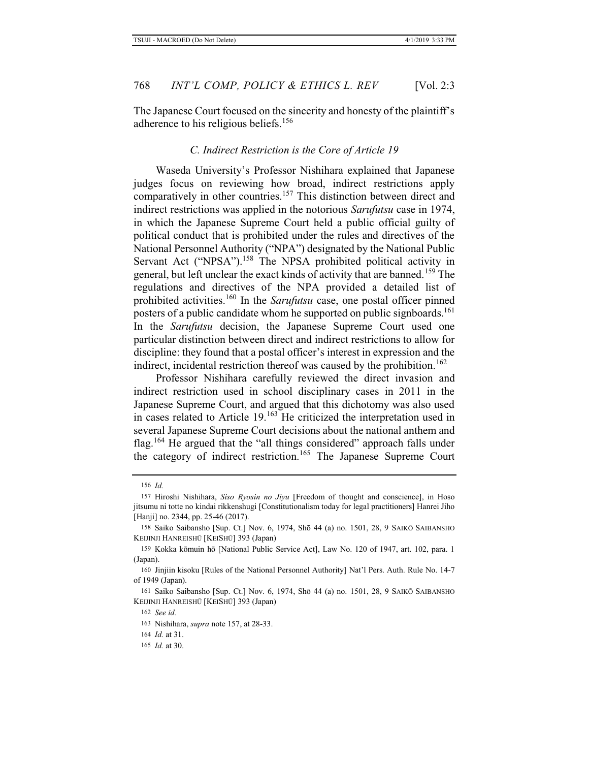### *C. Indirect Restriction is the Core of Article 19*

Waseda University's Professor Nishihara explained that Japanese judges focus on reviewing how broad, indirect restrictions apply comparatively in other countries.<sup>157</sup> This distinction between direct and indirect restrictions was applied in the notorious *Sarufutsu* case in 1974, in which the Japanese Supreme Court held a public official guilty of political conduct that is prohibited under the rules and directives of the National Personnel Authority ("NPA") designated by the National Public Servant Act ("NPSA").<sup>158</sup> The NPSA prohibited political activity in general, but left unclear the exact kinds of activity that are banned.159 The regulations and directives of the NPA provided a detailed list of prohibited activities.160 In the *Sarufutsu* case, one postal officer pinned posters of a public candidate whom he supported on public signboards.<sup>161</sup> In the *Sarufutsu* decision, the Japanese Supreme Court used one particular distinction between direct and indirect restrictions to allow for discipline: they found that a postal officer's interest in expression and the indirect, incidental restriction thereof was caused by the prohibition.<sup>162</sup>

Professor Nishihara carefully reviewed the direct invasion and indirect restriction used in school disciplinary cases in 2011 in the Japanese Supreme Court, and argued that this dichotomy was also used in cases related to Article 19.163 He criticized the interpretation used in several Japanese Supreme Court decisions about the national anthem and flag.<sup>164</sup> He argued that the "all things considered" approach falls under the category of indirect restriction.165 The Japanese Supreme Court

<sup>156</sup> *Id.*

<sup>157</sup> Hiroshi Nishihara, *Siso Ryosin no Jiyu* [Freedom of thought and conscience], in Hoso jitsumu ni totte no kindai rikkenshugi [Constitutionalism today for legal practitioners] Hanrei Jiho [Hanji] no. 2344, pp. 25-46 (2017).

<sup>158</sup> Saiko Saibansho [Sup. Ct.] Nov. 6, 1974, Shō 44 (a) no. 1501, 28, 9 SAIKŌ SAIBANSHO KEIJINJI HANREISHŪ [KEISHŪ] 393 (Japan)

<sup>159</sup> Kokka kōmuin hō [National Public Service Act], Law No. 120 of 1947, art. 102, para. 1 (Japan).

<sup>160</sup> Jinjiin kisoku [Rules of the National Personnel Authority] Nat'l Pers. Auth. Rule No. 14-7 of 1949 (Japan).

<sup>161</sup> Saiko Saibansho [Sup. Ct.] Nov. 6, 1974, Shō 44 (a) no. 1501, 28, 9 SAIKŌ SAIBANSHO KEIJINJI HANREISHŪ [KEISHŪ] 393 (Japan)

<sup>162</sup> *See id.*

<sup>163</sup> Nishihara, *supra* note 157, at 28-33.

<sup>164</sup> *Id.* at 31.

<sup>165</sup> *Id.* at 30.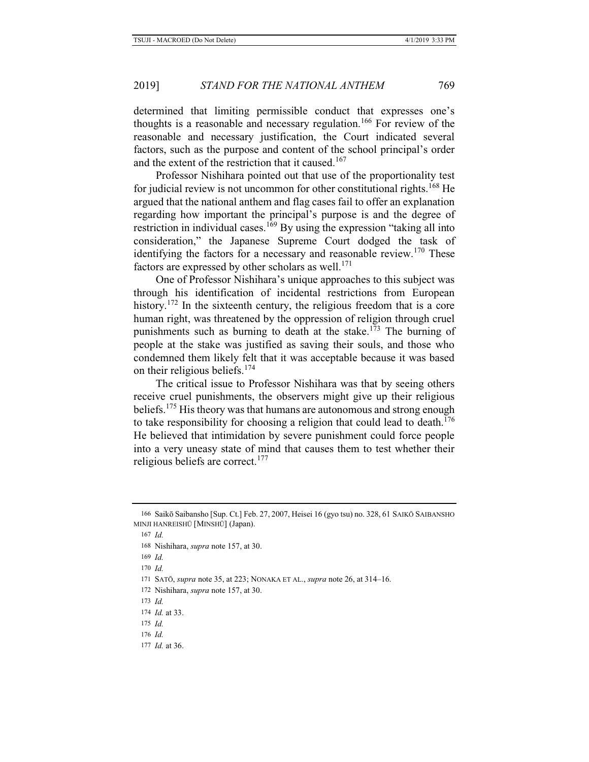### 2019] *STAND FOR THE NATIONAL ANTHEM* 769

determined that limiting permissible conduct that expresses one's thoughts is a reasonable and necessary regulation.<sup>166</sup> For review of the reasonable and necessary justification, the Court indicated several factors, such as the purpose and content of the school principal's order and the extent of the restriction that it caused.<sup>167</sup>

Professor Nishihara pointed out that use of the proportionality test for judicial review is not uncommon for other constitutional rights.<sup>168</sup> He argued that the national anthem and flag cases fail to offer an explanation regarding how important the principal's purpose is and the degree of restriction in individual cases.<sup>169</sup> By using the expression "taking all into consideration," the Japanese Supreme Court dodged the task of identifying the factors for a necessary and reasonable review.<sup>170</sup> These factors are expressed by other scholars as well.<sup>171</sup>

One of Professor Nishihara's unique approaches to this subject was through his identification of incidental restrictions from European history.<sup>172</sup> In the sixteenth century, the religious freedom that is a core human right, was threatened by the oppression of religion through cruel punishments such as burning to death at the stake.<sup>173</sup> The burning of people at the stake was justified as saving their souls, and those who condemned them likely felt that it was acceptable because it was based on their religious beliefs.<sup>174</sup>

The critical issue to Professor Nishihara was that by seeing others receive cruel punishments, the observers might give up their religious beliefs.<sup>175</sup> His theory was that humans are autonomous and strong enough to take responsibility for choosing a religion that could lead to death.<sup>176</sup> He believed that intimidation by severe punishment could force people into a very uneasy state of mind that causes them to test whether their religious beliefs are correct.<sup>177</sup>

- 172 Nishihara, *supra* note 157, at 30.
- 173 *Id.*

177 *Id.* at 36.

<sup>166</sup> Saikō Saibansho [Sup. Ct.] Feb. 27, 2007, Heisei 16 (gyo tsu) no. 328, 61 SAIKŌ SAIBANSHO MINJI HANREISHŪ [MINSHŪ] (Japan).

<sup>167</sup> *Id.*

<sup>168</sup> Nishihara, *supra* note 157, at 30.

<sup>169</sup> *Id.*

<sup>170</sup> *Id.*

<sup>171</sup> SATŌ, *supra* note 35, at 223; NONAKA ET AL., *supra* note 26, at 314–16.

<sup>174</sup> *Id.* at 33.

<sup>175</sup> *Id.*

<sup>176</sup> *Id.*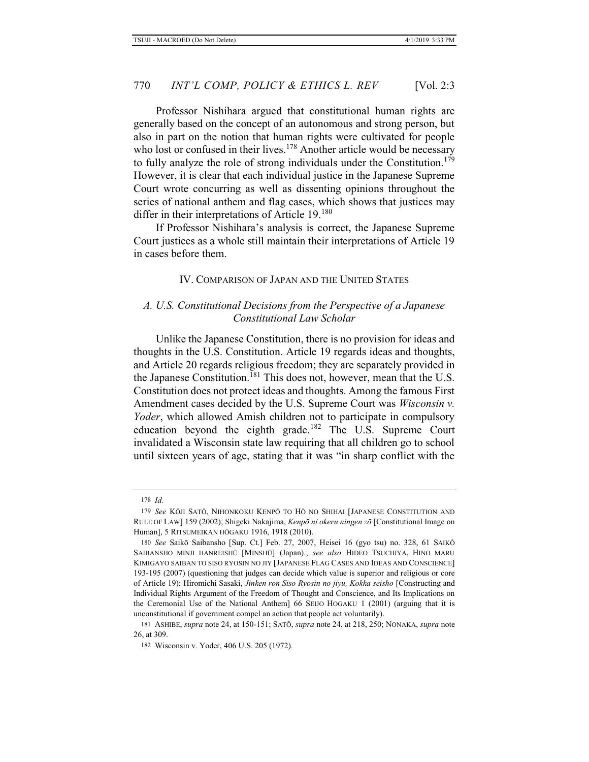Professor Nishihara argued that constitutional human rights are generally based on the concept of an autonomous and strong person, but also in part on the notion that human rights were cultivated for people who lost or confused in their lives.<sup>178</sup> Another article would be necessary to fully analyze the role of strong individuals under the Constitution.<sup>179</sup> However, it is clear that each individual justice in the Japanese Supreme Court wrote concurring as well as dissenting opinions throughout the series of national anthem and flag cases, which shows that justices may differ in their interpretations of Article 19.<sup>180</sup>

If Professor Nishihara's analysis is correct, the Japanese Supreme Court justices as a whole still maintain their interpretations of Article 19 in cases before them.

#### IV. COMPARISON OF JAPAN AND THE UNITED STATES

### *A. U.S. Constitutional Decisions from the Perspective of a Japanese Constitutional Law Scholar*

Unlike the Japanese Constitution, there is no provision for ideas and thoughts in the U.S. Constitution. Article 19 regards ideas and thoughts, and Article 20 regards religious freedom; they are separately provided in the Japanese Constitution.<sup>181</sup> This does not, however, mean that the U.S. Constitution does not protect ideas and thoughts. Among the famous First Amendment cases decided by the U.S. Supreme Court was *Wisconsin v. Yoder*, which allowed Amish children not to participate in compulsory education beyond the eighth grade.<sup>182</sup> The U.S. Supreme Court invalidated a Wisconsin state law requiring that all children go to school until sixteen years of age, stating that it was "in sharp conflict with the

<sup>178</sup> *Id.*

<sup>179</sup> *See* KŌJI SATŌ, NIHONKOKU KENPŌ TO HŌ NO SHIHAI [JAPANESE CONSTITUTION AND RULE OF LAW] 159 (2002); Shigeki Nakajima, *Kenpō ni okeru ningen zō* [Constitutional Image on Human], 5 RITSUMEIKAN HŌGAKU 1916, 1918 (2010).

<sup>180</sup> *See* Saikō Saibansho [Sup. Ct.] Feb. 27, 2007, Heisei 16 (gyo tsu) no. 328, 61 SAIKŌ SAIBANSHO MINJI HANREISHŪ [MINSHŪ] (Japan).; *see also* HIDEO TSUCHIYA, HINO MARU KIMIGAYO SAIBAN TO SISO RYOSIN NO JIY [JAPANESE FLAG CASES AND IDEAS AND CONSCIENCE] 193-195 (2007) (questioning that judges can decide which value is superior and religious or core of Article 19); Hiromichi Sasaki, *Jinken ron Siso Ryosin no jiyu, Kokka seisho* [Constructing and Individual Rights Argument of the Freedom of Thought and Conscience, and Its Implications on the Ceremonial Use of the National Anthem] 66 SEIJO HOGAKU 1 (2001) (arguing that it is unconstitutional if government compel an action that people act voluntarily).

<sup>181</sup> ASHIBE, *supra* note 24, at 150-151; SATŌ, *supra* note 24, at 218, 250; NONAKA, *supra* note 26, at 309.

<sup>182</sup> Wisconsin v. Yoder, 406 U.S. 205 (1972)*.*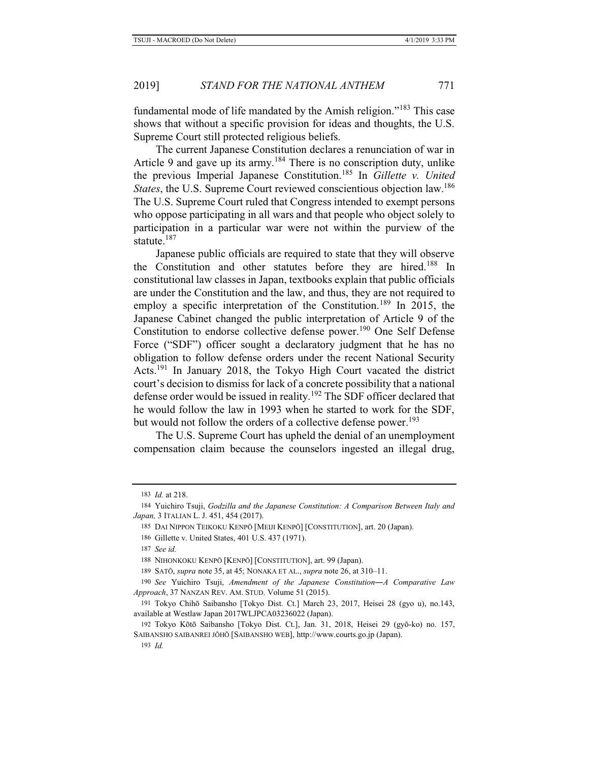fundamental mode of life mandated by the Amish religion."183 This case shows that without a specific provision for ideas and thoughts, the U.S. Supreme Court still protected religious beliefs.

The current Japanese Constitution declares a renunciation of war in Article 9 and gave up its army.<sup>184</sup> There is no conscription duty, unlike the previous Imperial Japanese Constitution.185 In *Gillette v. United States*, the U.S. Supreme Court reviewed conscientious objection law.<sup>186</sup> The U.S. Supreme Court ruled that Congress intended to exempt persons who oppose participating in all wars and that people who object solely to participation in a particular war were not within the purview of the statute.<sup>187</sup>

Japanese public officials are required to state that they will observe the Constitution and other statutes before they are hired.<sup>188</sup> In constitutional law classes in Japan, textbooks explain that public officials are under the Constitution and the law, and thus, they are not required to employ a specific interpretation of the Constitution.<sup>189</sup> In 2015, the Japanese Cabinet changed the public interpretation of Article 9 of the Constitution to endorse collective defense power.<sup>190</sup> One Self Defense Force ("SDF") officer sought a declaratory judgment that he has no obligation to follow defense orders under the recent National Security Acts.191 In January 2018, the Tokyo High Court vacated the district court's decision to dismiss for lack of a concrete possibility that a national defense order would be issued in reality.<sup>192</sup> The SDF officer declared that he would follow the law in 1993 when he started to work for the SDF, but would not follow the orders of a collective defense power.<sup>193</sup>

The U.S. Supreme Court has upheld the denial of an unemployment compensation claim because the counselors ingested an illegal drug,

<sup>183</sup> *Id.* at 218.

<sup>184</sup> Yuichiro Tsuji, *Godzilla and the Japanese Constitution: A Comparison Between Italy and Japan,* 3 ITALIAN L. J. 451, 454 (2017).

<sup>185</sup> DAI NIPPON TEIKOKU KENPŌ [MEIJI KENPŌ] [CONSTITUTION], art. 20 (Japan).

<sup>186</sup> Gillette v. United States, 401 U.S. 437 (1971).

<sup>187</sup> *See id.*

<sup>188</sup> NIHONKOKU KENPŌ [KENPŌ] [CONSTITUTION], art. 99 (Japan).

<sup>189</sup> SATŌ, *supra* note 35, at 45; NONAKA ET AL., *supra* note 26, at 310–11.

<sup>190</sup> *See* Yuichiro Tsuji, *Amendment of the Japanese Constitution―A Comparative Law Approach*, 37 NANZAN REV. AM. STUD. Volume 51 (2015).

<sup>191</sup> Tokyo Chihō Saibansho [Tokyo Dist. Ct.] March 23, 2017, Heisei 28 (gyo u), no.143, available at Westlaw Japan 2017WLJPCA03236022 (Japan).

<sup>192</sup> Tokyo Kōtō Saibansho [Tokyo Dist. Ct.], Jan. 31, 2018, Heisei 29 (gyō-ko) no. 157, SAIBANSHO SAIBANREI JŌHŌ [SAIBANSHO WEB], http://www.courts.go.jp (Japan).

<sup>193</sup> *Id.*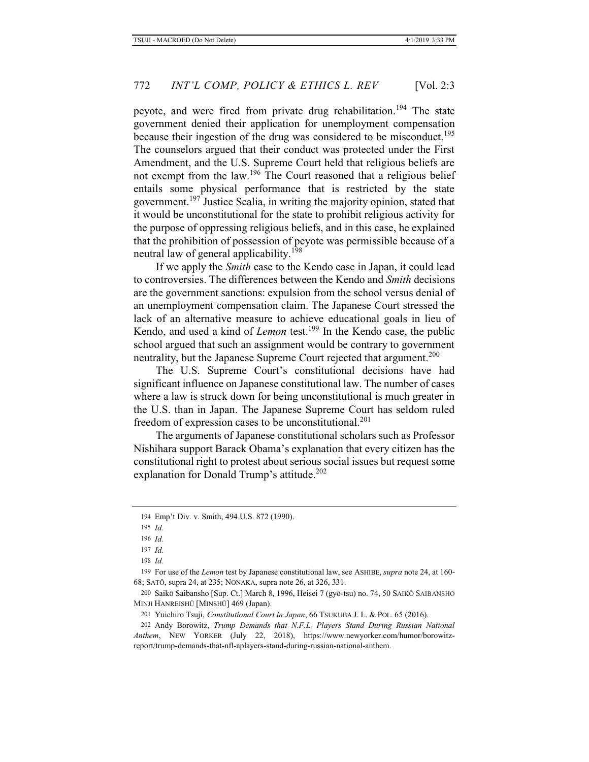peyote, and were fired from private drug rehabilitation.<sup>194</sup> The state government denied their application for unemployment compensation because their ingestion of the drug was considered to be misconduct.<sup>195</sup> The counselors argued that their conduct was protected under the First Amendment, and the U.S. Supreme Court held that religious beliefs are not exempt from the law.196 The Court reasoned that a religious belief entails some physical performance that is restricted by the state government.<sup>197</sup> Justice Scalia, in writing the majority opinion, stated that it would be unconstitutional for the state to prohibit religious activity for the purpose of oppressing religious beliefs, and in this case, he explained that the prohibition of possession of peyote was permissible because of a neutral law of general applicability.<sup>198</sup>

If we apply the *Smith* case to the Kendo case in Japan, it could lead to controversies. The differences between the Kendo and *Smith* decisions are the government sanctions: expulsion from the school versus denial of an unemployment compensation claim. The Japanese Court stressed the lack of an alternative measure to achieve educational goals in lieu of Kendo, and used a kind of *Lemon* test.<sup>199</sup> In the Kendo case, the public school argued that such an assignment would be contrary to government neutrality, but the Japanese Supreme Court rejected that argument.<sup>200</sup>

The U.S. Supreme Court's constitutional decisions have had significant influence on Japanese constitutional law. The number of cases where a law is struck down for being unconstitutional is much greater in the U.S. than in Japan. The Japanese Supreme Court has seldom ruled freedom of expression cases to be unconstitutional.<sup>201</sup>

The arguments of Japanese constitutional scholars such as Professor Nishihara support Barack Obama's explanation that every citizen has the constitutional right to protest about serious social issues but request some explanation for Donald Trump's attitude.<sup>202</sup>

196 *Id.*

197 *Id.*

198 *Id.*

199 For use of the *Lemon* test by Japanese constitutional law, see ASHIBE, *supra* note 24, at 160- 68; SATŌ, supra 24, at 235; NONAKA, supra note 26, at 326, 331.

200 Saikō Saibansho [Sup. Ct.] March 8, 1996, Heisei 7 (gyō-tsu) no. 74, 50 SAIKŌ SAIBANSHO MINJI HANREISHŪ [MINSHŪ] 469 (Japan).

201 Yuichiro Tsuji, *Constitutional Court in Japan*, 66 TSUKUBA J. L. & POL. 65 (2016).

202 Andy Borowitz, *Trump Demands that N.F.L. Players Stand During Russian National Anthem*, NEW YORKER (July 22, 2018), https://www.newyorker.com/humor/borowitzreport/trump-demands-that-nfl-aplayers-stand-during-russian-national-anthem.

<sup>194</sup> Emp't Div. v. Smith, 494 U.S. 872 (1990).

<sup>195</sup> *Id.*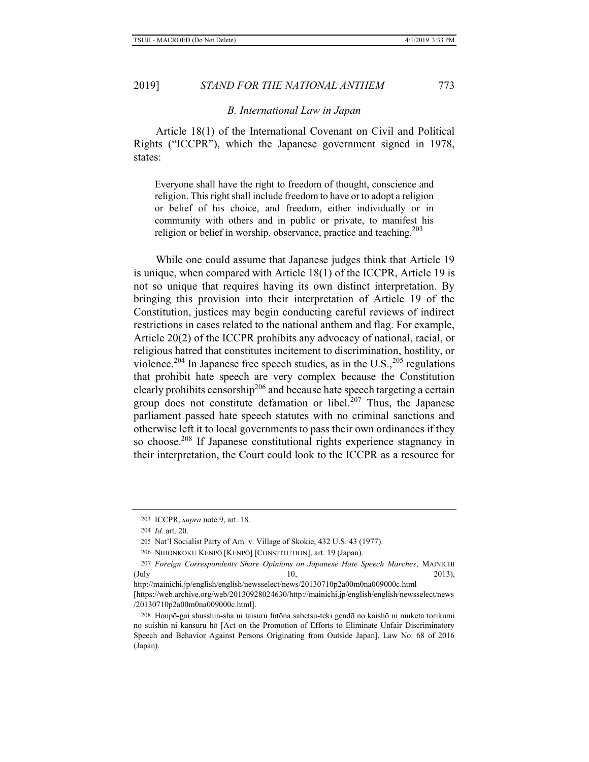#### *B. International Law in Japan*

Article 18(1) of the International Covenant on Civil and Political Rights ("ICCPR"), which the Japanese government signed in 1978, states:

Everyone shall have the right to freedom of thought, conscience and religion. This right shall include freedom to have or to adopt a religion or belief of his choice, and freedom, either individually or in community with others and in public or private, to manifest his religion or belief in worship, observance, practice and teaching.<sup>203</sup>

While one could assume that Japanese judges think that Article 19 is unique, when compared with Article 18(1) of the ICCPR, Article 19 is not so unique that requires having its own distinct interpretation. By bringing this provision into their interpretation of Article 19 of the Constitution, justices may begin conducting careful reviews of indirect restrictions in cases related to the national anthem and flag. For example, Article 20(2) of the ICCPR prohibits any advocacy of national, racial, or religious hatred that constitutes incitement to discrimination, hostility, or violence.<sup>204</sup> In Japanese free speech studies, as in the U.S.,  $^{205}$  regulations that prohibit hate speech are very complex because the Constitution clearly prohibits censorship<sup>206</sup> and because hate speech targeting a certain group does not constitute defamation or libel.<sup>207</sup> Thus, the Japanese parliament passed hate speech statutes with no criminal sanctions and otherwise left it to local governments to pass their own ordinances if they so choose.<sup>208</sup> If Japanese constitutional rights experience stagnancy in their interpretation, the Court could look to the ICCPR as a resource for

<sup>203</sup> ICCPR, *supra* note 9, art. 18.

<sup>204</sup> *Id.* art. 20.

<sup>205</sup> Nat'l Socialist Party of Am. v. Village of Skokie, 432 U.S. 43 (1977).

<sup>206</sup> NIHONKOKU KENPŌ [KENPŌ] [CONSTITUTION], art. 19 (Japan).

<sup>207</sup> *Foreign Correspondents Share Opinions on Japanese Hate Speech Marches*, MAINICHI (July 10, 2013),

http://mainichi.jp/english/english/newsselect/news/20130710p2a00m0na009000c.html

<sup>[</sup>https://web.archive.org/web/20130928024630/http://mainichi.jp/english/english/newsselect/news /20130710p2a00m0na009000c.html].

<sup>208</sup> Honpō-gai shusshin-sha ni taisuru futōna sabetsu-teki gendō no kaishō ni muketa torikumi no suishin ni kansuru hō [Act on the Promotion of Efforts to Eliminate Unfair Discriminatory Speech and Behavior Against Persons Originating from Outside Japan], Law No. 68 of 2016 (Japan).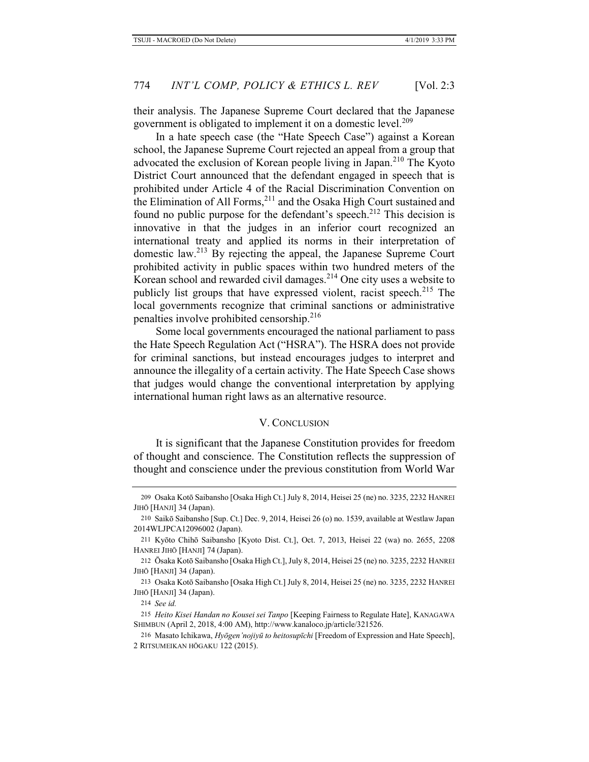their analysis. The Japanese Supreme Court declared that the Japanese government is obligated to implement it on a domestic level.<sup>209</sup>

In a hate speech case (the "Hate Speech Case") against a Korean school, the Japanese Supreme Court rejected an appeal from a group that advocated the exclusion of Korean people living in Japan.<sup>210</sup> The Kyoto District Court announced that the defendant engaged in speech that is prohibited under Article 4 of the Racial Discrimination Convention on the Elimination of All Forms, $^{211}$  and the Osaka High Court sustained and found no public purpose for the defendant's speech.<sup>212</sup> This decision is innovative in that the judges in an inferior court recognized an international treaty and applied its norms in their interpretation of domestic law.213 By rejecting the appeal, the Japanese Supreme Court prohibited activity in public spaces within two hundred meters of the Korean school and rewarded civil damages.214 One city uses a website to publicly list groups that have expressed violent, racist speech.<sup>215</sup> The local governments recognize that criminal sanctions or administrative penalties involve prohibited censorship.<sup>216</sup>

Some local governments encouraged the national parliament to pass the Hate Speech Regulation Act ("HSRA"). The HSRA does not provide for criminal sanctions, but instead encourages judges to interpret and announce the illegality of a certain activity. The Hate Speech Case shows that judges would change the conventional interpretation by applying international human right laws as an alternative resource.

#### V. CONCLUSION

It is significant that the Japanese Constitution provides for freedom of thought and conscience. The Constitution reflects the suppression of thought and conscience under the previous constitution from World War

<sup>209</sup> Osaka Kotō Saibansho [Osaka High Ct.] July 8, 2014, Heisei 25 (ne) no. 3235, 2232 HANREI JIHŌ [HANJI] 34 (Japan).

<sup>210</sup> Saikō Saibansho [Sup. Ct.] Dec. 9, 2014, Heisei 26 (o) no. 1539, available at Westlaw Japan 2014WLJPCA12096002 (Japan).

<sup>211</sup> Kyōto Chihō Saibansho [Kyoto Dist. Ct.], Oct. 7, 2013, Heisei 22 (wa) no. 2655, 2208 HANREI JIHŌ [HANJI] 74 (Japan).

<sup>212</sup> Ōsaka Kotō Saibansho [Osaka High Ct.], July 8, 2014, Heisei 25 (ne) no. 3235, 2232 HANREI JIHŌ [HANJI] 34 (Japan).

<sup>213</sup> Osaka Kotō Saibansho [Osaka High Ct.] July 8, 2014, Heisei 25 (ne) no. 3235, 2232 HANREI JIHŌ [HANJI] 34 (Japan).

<sup>214</sup> *See id.*

<sup>215</sup> *Heito Kisei Handan no Kousei sei Tanpo* [Keeping Fairness to Regulate Hate], KANAGAWA SHIMBUN (April 2, 2018, 4:00 AM), http://www.kanaloco.jp/article/321526.

<sup>216</sup> Masato Ichikawa, *Hyōgen'nojiyū to heitosupīchi* [Freedom of Expression and Hate Speech], 2 RITSUMEIKAN HŌGAKU 122 (2015).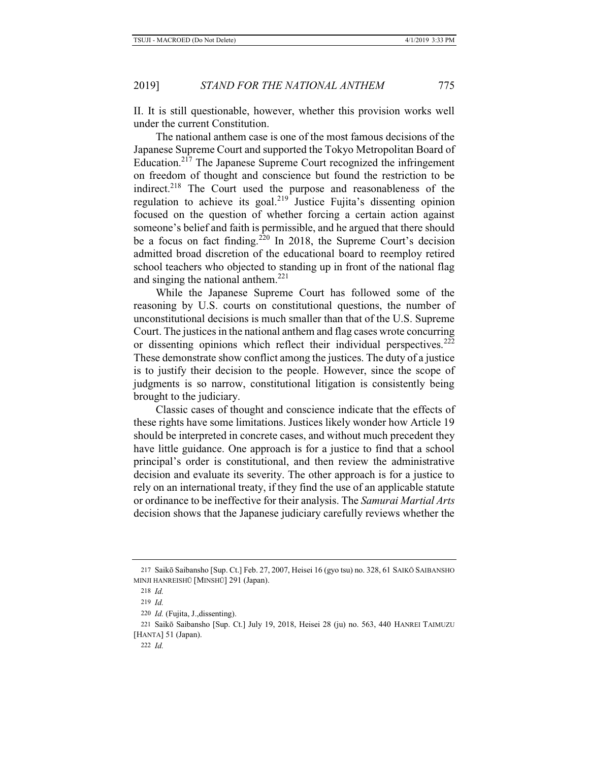II. It is still questionable, however, whether this provision works well under the current Constitution.

The national anthem case is one of the most famous decisions of the Japanese Supreme Court and supported the Tokyo Metropolitan Board of Education.217 The Japanese Supreme Court recognized the infringement on freedom of thought and conscience but found the restriction to be indirect.<sup>218</sup> The Court used the purpose and reasonableness of the regulation to achieve its goal.<sup>219</sup> Justice Fujita's dissenting opinion focused on the question of whether forcing a certain action against someone's belief and faith is permissible, and he argued that there should be a focus on fact finding.<sup>220</sup> In 2018, the Supreme Court's decision admitted broad discretion of the educational board to reemploy retired school teachers who objected to standing up in front of the national flag and singing the national anthem.<sup>221</sup>

While the Japanese Supreme Court has followed some of the reasoning by U.S. courts on constitutional questions, the number of unconstitutional decisions is much smaller than that of the U.S. Supreme Court. The justices in the national anthem and flag cases wrote concurring or dissenting opinions which reflect their individual perspectives.<sup>222</sup> These demonstrate show conflict among the justices. The duty of a justice is to justify their decision to the people. However, since the scope of judgments is so narrow, constitutional litigation is consistently being brought to the judiciary.

Classic cases of thought and conscience indicate that the effects of these rights have some limitations. Justices likely wonder how Article 19 should be interpreted in concrete cases, and without much precedent they have little guidance. One approach is for a justice to find that a school principal's order is constitutional, and then review the administrative decision and evaluate its severity. The other approach is for a justice to rely on an international treaty, if they find the use of an applicable statute or ordinance to be ineffective for their analysis. The *Samurai Martial Arts* decision shows that the Japanese judiciary carefully reviews whether the

<sup>217</sup> Saikō Saibansho [Sup. Ct.] Feb. 27, 2007, Heisei 16 (gyo tsu) no. 328, 61 SAIKŌ SAIBANSHO MINJI HANREISHŪ [MINSHŪ] 291 (Japan).

<sup>218</sup> *Id.*

<sup>219</sup> *Id.*

<sup>220</sup> *Id.* (Fujita, J.,dissenting).

<sup>221</sup> Saikō Saibansho [Sup. Ct.] July 19, 2018, Heisei 28 (ju) no. 563, 440 HANREI TAIMUZU [HANTA] 51 (Japan).

<sup>222</sup> *Id.*